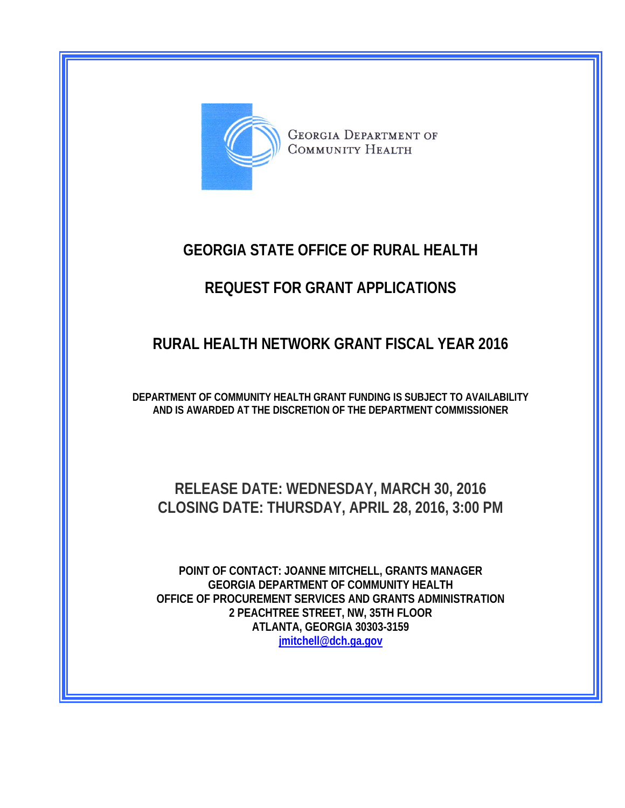

**GEORGIA DEPARTMENT OF COMMUNITY HEALTH** 

# **GEORGIA STATE OFFICE OF RURAL HEALTH**

# **REQUEST FOR GRANT APPLICATIONS**

# **RURAL HEALTH NETWORK GRANT FISCAL YEAR 2016**

**DEPARTMENT OF COMMUNITY HEALTH GRANT FUNDING IS SUBJECT TO AVAILABILITY AND IS AWARDED AT THE DISCRETION OF THE DEPARTMENT COMMISSIONER** 

# **RELEASE DATE: WEDNESDAY, MARCH 30, 2016 CLOSING DATE: THURSDAY, APRIL 28, 2016, 3:00 PM**

**POINT OF CONTACT: JOANNE MITCHELL, GRANTS MANAGER GEORGIA DEPARTMENT OF COMMUNITY HEALTH OFFICE OF PROCUREMENT SERVICES AND GRANTS ADMINISTRATION 2 PEACHTREE STREET, NW, 35TH FLOOR ATLANTA, GEORGIA 30303-3159 [jmitchell@dch.ga.gov](mailto:jmitchell@dch.ga.gov)**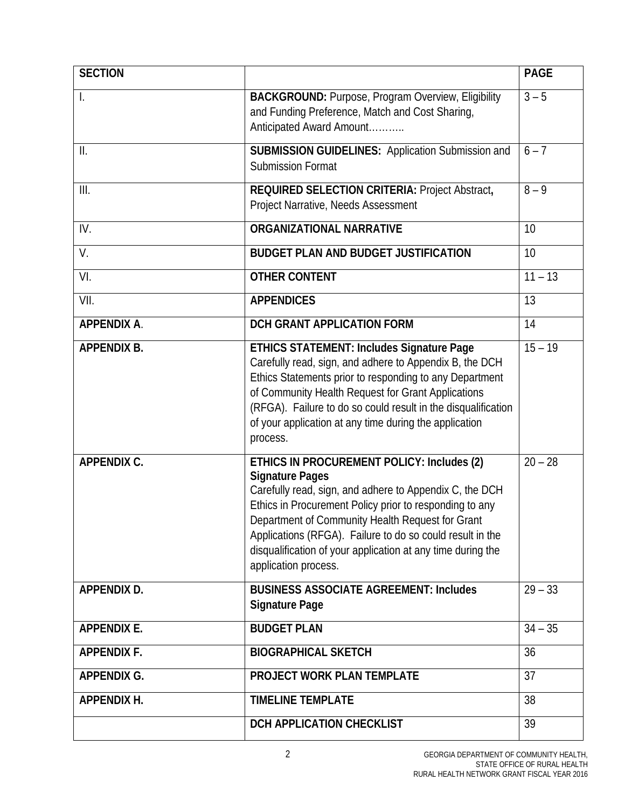| <b>SECTION</b>     |                                                                                                                                                                                                                                                                                                                                                                                                    | <b>PAGE</b> |
|--------------------|----------------------------------------------------------------------------------------------------------------------------------------------------------------------------------------------------------------------------------------------------------------------------------------------------------------------------------------------------------------------------------------------------|-------------|
|                    | <b>BACKGROUND: Purpose, Program Overview, Eligibility</b><br>and Funding Preference, Match and Cost Sharing,<br>Anticipated Award Amount                                                                                                                                                                                                                                                           | $3 - 5$     |
| $\prod$            | <b>SUBMISSION GUIDELINES: Application Submission and</b><br><b>Submission Format</b>                                                                                                                                                                                                                                                                                                               | $6 - 7$     |
| III.               | REQUIRED SELECTION CRITERIA: Project Abstract,<br>Project Narrative, Needs Assessment                                                                                                                                                                                                                                                                                                              | $8 - 9$     |
| IV.                | <b>ORGANIZATIONAL NARRATIVE</b>                                                                                                                                                                                                                                                                                                                                                                    | 10          |
| V.                 | <b>BUDGET PLAN AND BUDGET JUSTIFICATION</b>                                                                                                                                                                                                                                                                                                                                                        | 10          |
| VI.                | <b>OTHER CONTENT</b>                                                                                                                                                                                                                                                                                                                                                                               | $11 - 13$   |
| VII.               | <b>APPENDICES</b>                                                                                                                                                                                                                                                                                                                                                                                  | 13          |
| <b>APPENDIX A.</b> | DCH GRANT APPLICATION FORM                                                                                                                                                                                                                                                                                                                                                                         | 14          |
| <b>APPENDIX B.</b> | <b>ETHICS STATEMENT: Includes Signature Page</b><br>Carefully read, sign, and adhere to Appendix B, the DCH<br>Ethics Statements prior to responding to any Department<br>of Community Health Request for Grant Applications<br>(RFGA). Failure to do so could result in the disqualification<br>of your application at any time during the application<br>process.                                | $15 - 19$   |
| <b>APPENDIX C.</b> | ETHICS IN PROCUREMENT POLICY: Includes (2)<br><b>Signature Pages</b><br>Carefully read, sign, and adhere to Appendix C, the DCH<br>Ethics in Procurement Policy prior to responding to any<br>Department of Community Health Request for Grant<br>Applications (RFGA). Failure to do so could result in the<br>disqualification of your application at any time during the<br>application process. | $20 - 28$   |
| <b>APPENDIX D.</b> | <b>BUSINESS ASSOCIATE AGREEMENT: Includes</b><br><b>Signature Page</b>                                                                                                                                                                                                                                                                                                                             | $29 - 33$   |
| <b>APPENDIX E.</b> | <b>BUDGET PLAN</b>                                                                                                                                                                                                                                                                                                                                                                                 | $34 - 35$   |
| <b>APPENDIX F.</b> | <b>BIOGRAPHICAL SKETCH</b>                                                                                                                                                                                                                                                                                                                                                                         | 36          |
| <b>APPENDIX G.</b> | <b>PROJECT WORK PLAN TEMPLATE</b>                                                                                                                                                                                                                                                                                                                                                                  | 37          |
| <b>APPENDIX H.</b> | <b>TIMELINE TEMPLATE</b>                                                                                                                                                                                                                                                                                                                                                                           | 38          |
|                    | DCH APPLICATION CHECKLIST                                                                                                                                                                                                                                                                                                                                                                          | 39          |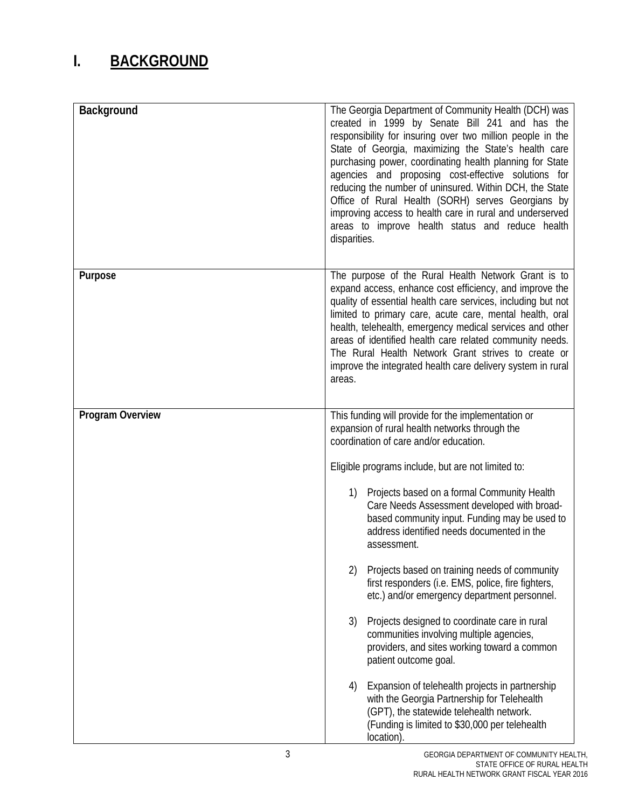# **I. BACKGROUND**

| Background       | The Georgia Department of Community Health (DCH) was<br>created in 1999 by Senate Bill 241 and has the<br>responsibility for insuring over two million people in the<br>State of Georgia, maximizing the State's health care<br>purchasing power, coordinating health planning for State<br>agencies and proposing cost-effective solutions for<br>reducing the number of uninsured. Within DCH, the State<br>Office of Rural Health (SORH) serves Georgians by<br>improving access to health care in rural and underserved<br>areas to improve health status and reduce health<br>disparities.                                                                                                                                         |  |  |  |  |
|------------------|-----------------------------------------------------------------------------------------------------------------------------------------------------------------------------------------------------------------------------------------------------------------------------------------------------------------------------------------------------------------------------------------------------------------------------------------------------------------------------------------------------------------------------------------------------------------------------------------------------------------------------------------------------------------------------------------------------------------------------------------|--|--|--|--|
| Purpose          | The purpose of the Rural Health Network Grant is to<br>expand access, enhance cost efficiency, and improve the<br>quality of essential health care services, including but not<br>limited to primary care, acute care, mental health, oral<br>health, telehealth, emergency medical services and other<br>areas of identified health care related community needs.<br>The Rural Health Network Grant strives to create or<br>improve the integrated health care delivery system in rural<br>areas.                                                                                                                                                                                                                                      |  |  |  |  |
| Program Overview | This funding will provide for the implementation or<br>expansion of rural health networks through the<br>coordination of care and/or education.<br>Eligible programs include, but are not limited to:<br>Projects based on a formal Community Health<br>1)<br>Care Needs Assessment developed with broad-<br>based community input. Funding may be used to<br>address identified needs documented in the<br>assessment.<br>Projects based on training needs of community<br>2)<br>first responders (i.e. EMS, police, fire fighters,<br>etc.) and/or emergency department personnel.<br>3)<br>Projects designed to coordinate care in rural<br>communities involving multiple agencies,<br>providers, and sites working toward a common |  |  |  |  |
|                  | patient outcome goal.<br>Expansion of telehealth projects in partnership<br>4)<br>with the Georgia Partnership for Telehealth<br>(GPT), the statewide telehealth network.<br>(Funding is limited to \$30,000 per telehealth<br>location).                                                                                                                                                                                                                                                                                                                                                                                                                                                                                               |  |  |  |  |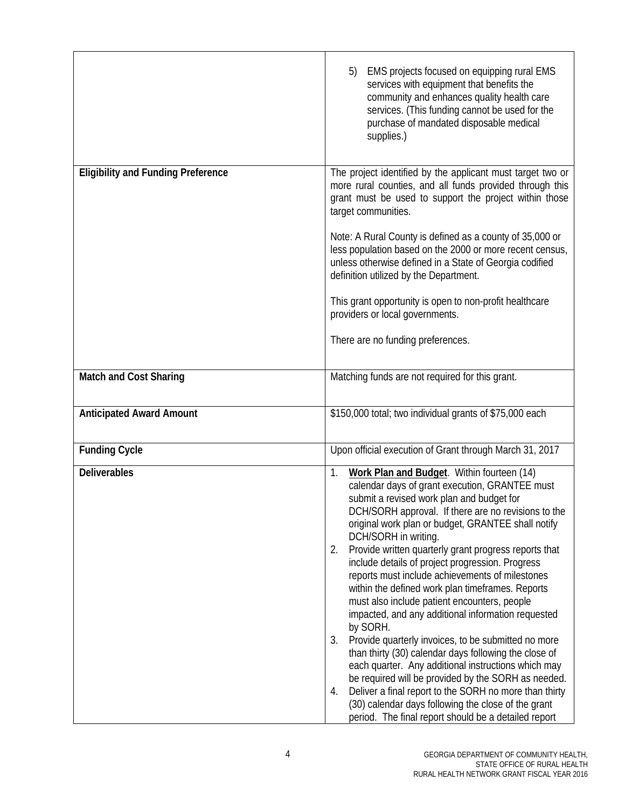|                                           | EMS projects focused on equipping rural EMS<br>5)<br>services with equipment that benefits the<br>community and enhances quality health care<br>services. (This funding cannot be used for the<br>purchase of mandated disposable medical<br>supplies.)                                                                                                                                                                                                                                                                                                                                                                                                                                                                                                                                                                                                                                                                                                                                                                                             |
|-------------------------------------------|-----------------------------------------------------------------------------------------------------------------------------------------------------------------------------------------------------------------------------------------------------------------------------------------------------------------------------------------------------------------------------------------------------------------------------------------------------------------------------------------------------------------------------------------------------------------------------------------------------------------------------------------------------------------------------------------------------------------------------------------------------------------------------------------------------------------------------------------------------------------------------------------------------------------------------------------------------------------------------------------------------------------------------------------------------|
| <b>Eligibility and Funding Preference</b> | The project identified by the applicant must target two or<br>more rural counties, and all funds provided through this<br>grant must be used to support the project within those<br>target communities.<br>Note: A Rural County is defined as a county of 35,000 or<br>less population based on the 2000 or more recent census,<br>unless otherwise defined in a State of Georgia codified<br>definition utilized by the Department.<br>This grant opportunity is open to non-profit healthcare<br>providers or local governments.<br>There are no funding preferences.                                                                                                                                                                                                                                                                                                                                                                                                                                                                             |
| <b>Match and Cost Sharing</b>             | Matching funds are not required for this grant.                                                                                                                                                                                                                                                                                                                                                                                                                                                                                                                                                                                                                                                                                                                                                                                                                                                                                                                                                                                                     |
| <b>Anticipated Award Amount</b>           | \$150,000 total; two individual grants of \$75,000 each                                                                                                                                                                                                                                                                                                                                                                                                                                                                                                                                                                                                                                                                                                                                                                                                                                                                                                                                                                                             |
| <b>Funding Cycle</b>                      | Upon official execution of Grant through March 31, 2017                                                                                                                                                                                                                                                                                                                                                                                                                                                                                                                                                                                                                                                                                                                                                                                                                                                                                                                                                                                             |
| <b>Deliverables</b>                       | Work Plan and Budget. Within fourteen (14)<br>1.<br>calendar days of grant execution, GRANTEE must<br>submit a revised work plan and budget for<br>DCH/SORH approval. If there are no revisions to the<br>original work plan or budget, GRANTEE shall notify<br>DCH/SORH in writing.<br>Provide written quarterly grant progress reports that<br>2.<br>include details of project progression. Progress<br>reports must include achievements of milestones<br>within the defined work plan timeframes. Reports<br>must also include patient encounters, people<br>impacted, and any additional information requested<br>by SORH.<br>Provide quarterly invoices, to be submitted no more<br>3.<br>than thirty (30) calendar days following the close of<br>each quarter. Any additional instructions which may<br>be required will be provided by the SORH as needed.<br>Deliver a final report to the SORH no more than thirty<br>4.<br>(30) calendar days following the close of the grant<br>period. The final report should be a detailed report |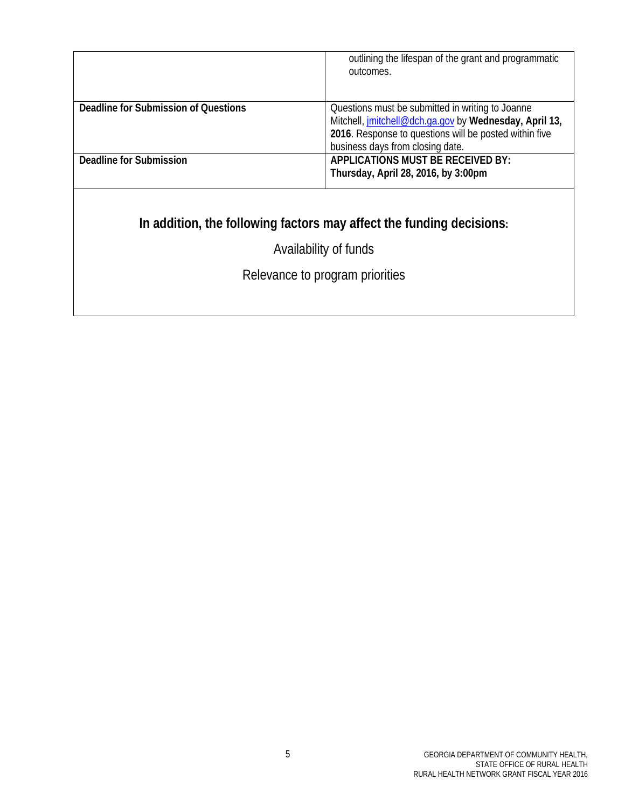|                                      | outlining the lifespan of the grant and programmatic<br>outcomes.                                                                                                                                        |
|--------------------------------------|----------------------------------------------------------------------------------------------------------------------------------------------------------------------------------------------------------|
| Deadline for Submission of Questions | Questions must be submitted in writing to Joanne<br>Mitchell, jmitchell@dch.ga.gov by Wednesday, April 13,<br>2016. Response to questions will be posted within five<br>business days from closing date. |
| Deadline for Submission              | <b>APPLICATIONS MUST BE RECEIVED BY:</b><br>Thursday, April 28, 2016, by 3:00pm                                                                                                                          |

# **In addition, the following factors may affect the funding decisions:**

Availability of funds

Relevance to program priorities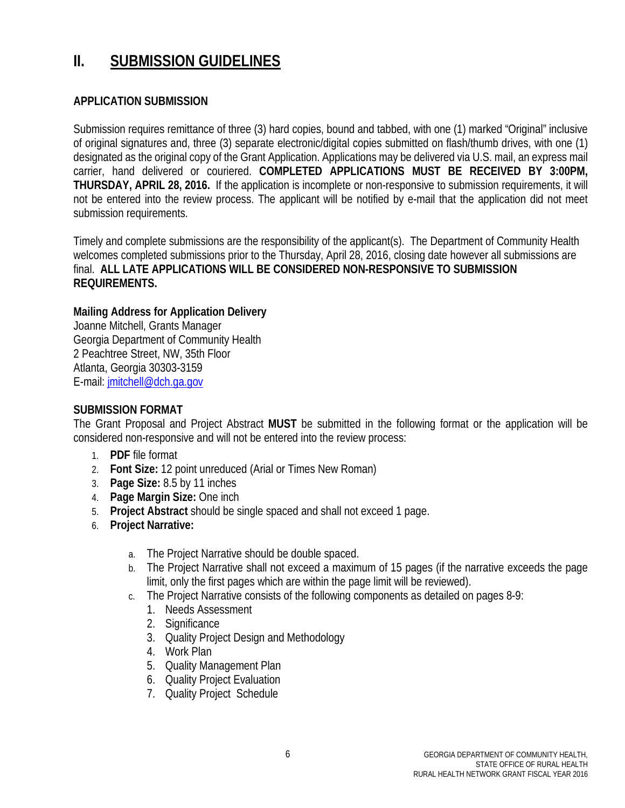## **II. SUBMISSION GUIDELINES**

## **APPLICATION SUBMISSION**

Submission requires remittance of three (3) hard copies, bound and tabbed, with one (1) marked "Original" inclusive of original signatures and, three (3) separate electronic/digital copies submitted on flash/thumb drives, with one (1) designated as the original copy of the Grant Application. Applications may be delivered via U.S. mail, an express mail carrier, hand delivered or couriered. **COMPLETED APPLICATIONS MUST BE RECEIVED BY 3:00PM, THURSDAY, APRIL 28, 2016.** If the application is incomplete or non-responsive to submission requirements, it will not be entered into the review process. The applicant will be notified by e-mail that the application did not meet submission requirements.

Timely and complete submissions are the responsibility of the applicant(s). The Department of Community Health welcomes completed submissions prior to the Thursday, April 28, 2016, closing date however all submissions are final. **ALL LATE APPLICATIONS WILL BE CONSIDERED NON-RESPONSIVE TO SUBMISSION REQUIREMENTS.** 

## **Mailing Address for Application Delivery**

Joanne Mitchell, Grants Manager Georgia Department of Community Health 2 Peachtree Street, NW, 35th Floor Atlanta, Georgia 30303-3159 E-mail: [jmitchell@dch.ga.gov](mailto:jmitchell@dch.ga.gov)

## **SUBMISSION FORMAT**

The Grant Proposal and Project Abstract **MUST** be submitted in the following format or the application will be considered non-responsive and will not be entered into the review process:

- 1. **PDF** file format
- 2. **Font Size:** 12 point unreduced (Arial or Times New Roman)
- 3. **Page Size:** 8.5 by 11 inches
- 4. **Page Margin Size:** One inch
- 5. **Project Abstract** should be single spaced and shall not exceed 1 page.
- 6. **Project Narrative:**
	- a. The Project Narrative should be double spaced.
	- b. The Project Narrative shall not exceed a maximum of 15 pages (if the narrative exceeds the page limit, only the first pages which are within the page limit will be reviewed).
	- c. The Project Narrative consists of the following components as detailed on pages 8-9:
		- 1. Needs Assessment
		- 2. Significance
		- 3. Quality Project Design and Methodology
		- 4. Work Plan
		- 5. Quality Management Plan
		- 6. Quality Project Evaluation
		- 7. Quality Project Schedule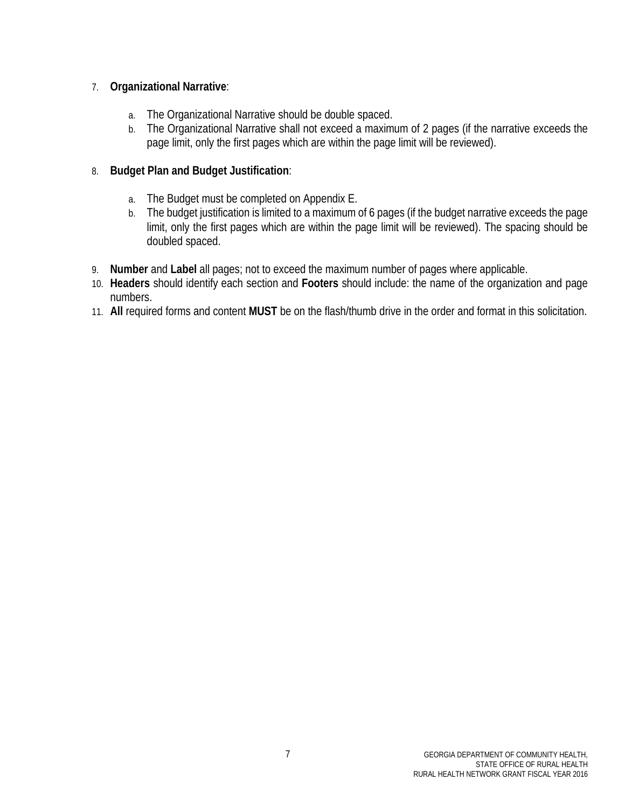## 7. **Organizational Narrative**:

- a. The Organizational Narrative should be double spaced.
- b. The Organizational Narrative shall not exceed a maximum of 2 pages (if the narrative exceeds the page limit, only the first pages which are within the page limit will be reviewed).

## 8. **Budget Plan and Budget Justification**:

- a. The Budget must be completed on Appendix E.
- b. The budget justification is limited to a maximum of 6 pages (if the budget narrative exceeds the page limit, only the first pages which are within the page limit will be reviewed). The spacing should be doubled spaced.
- 9. **Number** and **Label** all pages; not to exceed the maximum number of pages where applicable.
- 10. **Headers** should identify each section and **Footers** should include: the name of the organization and page numbers.
- 11. **All** required forms and content **MUST** be on the flash/thumb drive in the order and format in this solicitation.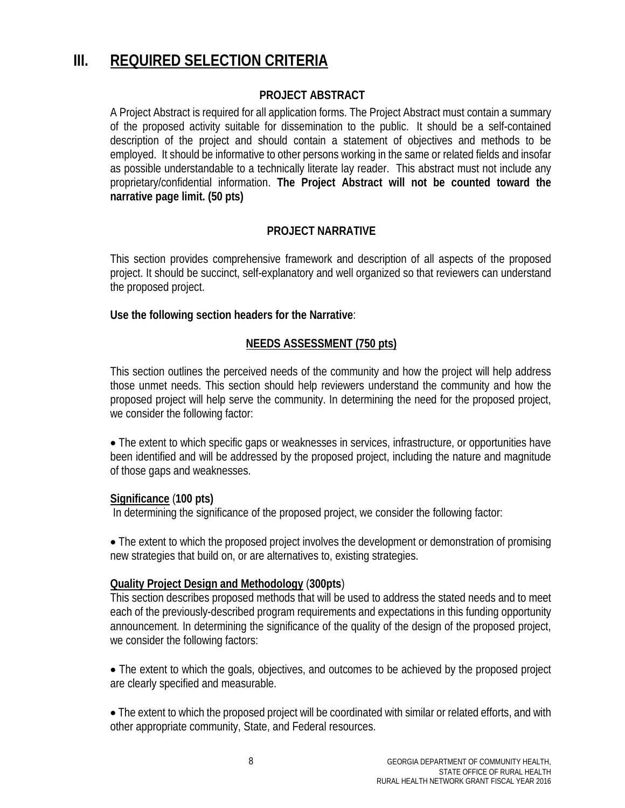# **III. REQUIRED SELECTION CRITERIA**

## **PROJECT ABSTRACT**

A Project Abstract is required for all application forms. The Project Abstract must contain a summary of the proposed activity suitable for dissemination to the public. It should be a self-contained description of the project and should contain a statement of objectives and methods to be employed. It should be informative to other persons working in the same or related fields and insofar as possible understandable to a technically literate lay reader. This abstract must not include any proprietary/confidential information. **The Project Abstract will not be counted toward the narrative page limit. (50 pts)**

## **PROJECT NARRATIVE**

This section provides comprehensive framework and description of all aspects of the proposed project. It should be succinct, self-explanatory and well organized so that reviewers can understand the proposed project.

**Use the following section headers for the Narrative**:

## **NEEDS ASSESSMENT (750 pts)**

This section outlines the perceived needs of the community and how the project will help address those unmet needs. This section should help reviewers understand the community and how the proposed project will help serve the community. In determining the need for the proposed project, we consider the following factor:

• The extent to which specific gaps or weaknesses in services, infrastructure, or opportunities have been identified and will be addressed by the proposed project, including the nature and magnitude of those gaps and weaknesses.

## **Significance** (**100 pts)**

In determining the significance of the proposed project, we consider the following factor:

• The extent to which the proposed project involves the development or demonstration of promising new strategies that build on, or are alternatives to, existing strategies.

## **Quality Project Design and Methodology** (**300pts**)

This section describes proposed methods that will be used to address the stated needs and to meet each of the previously-described program requirements and expectations in this funding opportunity announcement. In determining the significance of the quality of the design of the proposed project, we consider the following factors:

• The extent to which the goals, objectives, and outcomes to be achieved by the proposed project are clearly specified and measurable.

• The extent to which the proposed project will be coordinated with similar or related efforts, and with other appropriate community, State, and Federal resources.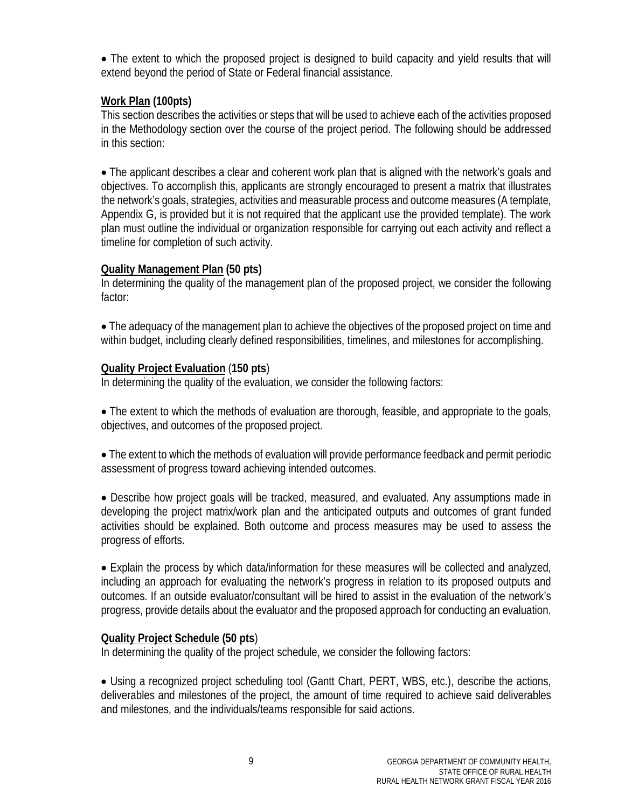• The extent to which the proposed project is designed to build capacity and yield results that will extend beyond the period of State or Federal financial assistance.

## **Work Plan (100pts)**

This section describes the activities or steps that will be used to achieve each of the activities proposed in the Methodology section over the course of the project period. The following should be addressed in this section:

• The applicant describes a clear and coherent work plan that is aligned with the network's goals and objectives. To accomplish this, applicants are strongly encouraged to present a matrix that illustrates the network's goals, strategies, activities and measurable process and outcome measures (A template, Appendix G, is provided but it is not required that the applicant use the provided template). The work plan must outline the individual or organization responsible for carrying out each activity and reflect a timeline for completion of such activity.

## **Quality Management Plan (50 pts)**

In determining the quality of the management plan of the proposed project, we consider the following factor:

• The adequacy of the management plan to achieve the objectives of the proposed project on time and within budget, including clearly defined responsibilities, timelines, and milestones for accomplishing.

## **Quality Project Evaluation** (**150 pts**)

In determining the quality of the evaluation, we consider the following factors:

• The extent to which the methods of evaluation are thorough, feasible, and appropriate to the goals, objectives, and outcomes of the proposed project.

• The extent to which the methods of evaluation will provide performance feedback and permit periodic assessment of progress toward achieving intended outcomes.

• Describe how project goals will be tracked, measured, and evaluated. Any assumptions made in developing the project matrix/work plan and the anticipated outputs and outcomes of grant funded activities should be explained. Both outcome and process measures may be used to assess the progress of efforts.

• Explain the process by which data/information for these measures will be collected and analyzed, including an approach for evaluating the network's progress in relation to its proposed outputs and outcomes. If an outside evaluator/consultant will be hired to assist in the evaluation of the network's progress, provide details about the evaluator and the proposed approach for conducting an evaluation.

## **Quality Project Schedule (50 pts**)

In determining the quality of the project schedule, we consider the following factors:

• Using a recognized project scheduling tool (Gantt Chart, PERT, WBS, etc.), describe the actions, deliverables and milestones of the project, the amount of time required to achieve said deliverables and milestones, and the individuals/teams responsible for said actions.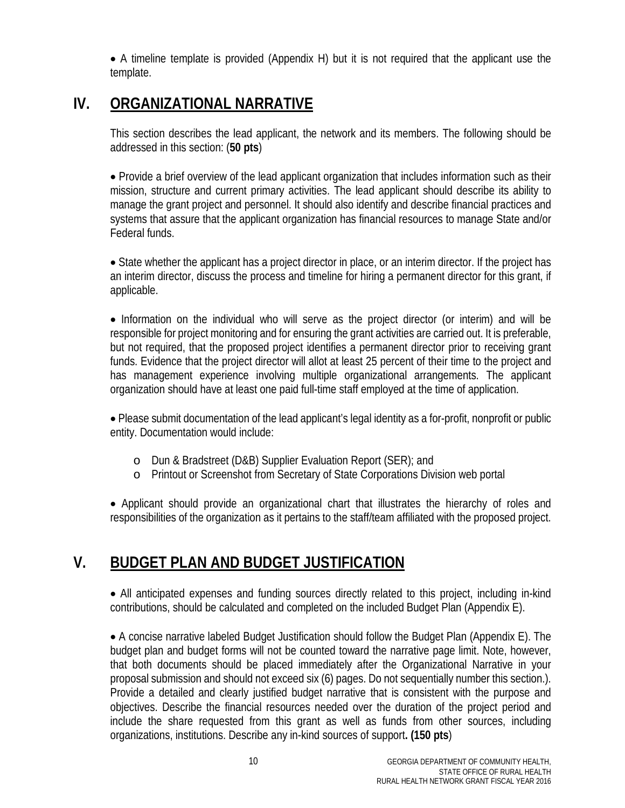• A timeline template is provided (Appendix H) but it is not required that the applicant use the template.

# **IV. ORGANIZATIONAL NARRATIVE**

This section describes the lead applicant, the network and its members. The following should be addressed in this section: (**50 pts**)

• Provide a brief overview of the lead applicant organization that includes information such as their mission, structure and current primary activities. The lead applicant should describe its ability to manage the grant project and personnel. It should also identify and describe financial practices and systems that assure that the applicant organization has financial resources to manage State and/or Federal funds.

• State whether the applicant has a project director in place, or an interim director. If the project has an interim director, discuss the process and timeline for hiring a permanent director for this grant, if applicable.

• Information on the individual who will serve as the project director (or interim) and will be responsible for project monitoring and for ensuring the grant activities are carried out. It is preferable, but not required, that the proposed project identifies a permanent director prior to receiving grant funds. Evidence that the project director will allot at least 25 percent of their time to the project and has management experience involving multiple organizational arrangements. The applicant organization should have at least one paid full-time staff employed at the time of application.

• Please submit documentation of the lead applicant's legal identity as a for-profit, nonprofit or public entity. Documentation would include:

- o Dun & Bradstreet (D&B) Supplier Evaluation Report (SER); and
- o Printout or Screenshot from Secretary of State Corporations Division web portal

• Applicant should provide an organizational chart that illustrates the hierarchy of roles and responsibilities of the organization as it pertains to the staff/team affiliated with the proposed project.

## **V. BUDGET PLAN AND BUDGET JUSTIFICATION**

• All anticipated expenses and funding sources directly related to this project, including in-kind contributions, should be calculated and completed on the included Budget Plan (Appendix E).

• A concise narrative labeled Budget Justification should follow the Budget Plan (Appendix E). The budget plan and budget forms will not be counted toward the narrative page limit. Note, however, that both documents should be placed immediately after the Organizational Narrative in your proposal submission and should not exceed six (6) pages. Do not sequentially number this section.). Provide a detailed and clearly justified budget narrative that is consistent with the purpose and objectives. Describe the financial resources needed over the duration of the project period and include the share requested from this grant as well as funds from other sources, including organizations, institutions. Describe any in-kind sources of support**. (150 pts**)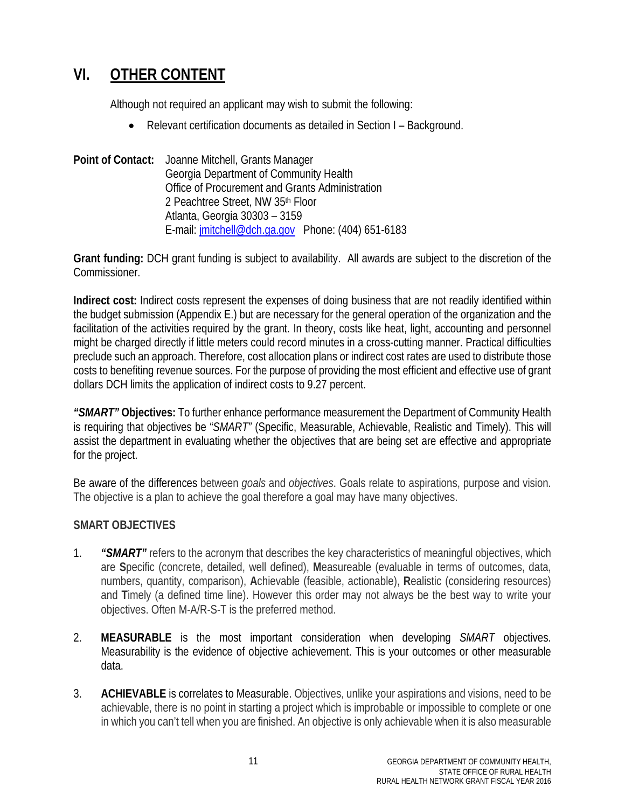# **VI. OTHER CONTENT**

Although not required an applicant may wish to submit the following:

• Relevant certification documents as detailed in Section I – Background.

**Point of Contact:** Joanne Mitchell, Grants Manager Georgia Department of Community Health Office of Procurement and Grants Administration 2 Peachtree Street, NW 35th Floor Atlanta, Georgia 30303 – 3159 E-mail: [jmitchell@dch.ga.gov](mailto:jmitchell@dch.ga.gov) Phone: (404) 651-6183

**Grant funding:** DCH grant funding is subject to availability. All awards are subject to the discretion of the Commissioner.

**Indirect cost:** Indirect costs represent the expenses of doing business that are not readily identified within the budget submission (Appendix E.) but are necessary for the general operation of the organization and the facilitation of the activities required by the grant. In theory, costs like heat, light, accounting and personnel might be charged directly if little meters could record minutes in a cross-cutting manner. Practical difficulties preclude such an approach. Therefore, cost allocation plans or indirect cost rates are used to distribute those costs to benefiting revenue sources. For the purpose of providing the most efficient and effective use of grant dollars DCH limits the application of indirect costs to 9.27 percent.

*"SMART"* **Objectives:** To further enhance performance measurement the Department of Community Health is requiring that objectives be "*SMART"* (Specific, Measurable, Achievable, Realistic and Timely). This will assist the department in evaluating whether the objectives that are being set are effective and appropriate for the project.

Be aware of the differences between *goals* and *objectives*. Goals relate to aspirations, purpose and vision. The objective is a plan to achieve the goal therefore a goal may have many objectives.

## **SMART OBJECTIVES**

- 1. *"SMART"* refers to the acronym that describes the key characteristics of meaningful objectives, which are **S**pecific (concrete, detailed, well defined), **M**easureable (evaluable in terms of outcomes, data, numbers, quantity, comparison), **A**chievable (feasible, actionable), **R**ealistic (considering resources) and **T**imely (a defined time line). However this order may not always be the best way to write your objectives. Often M-A/R-S-T is the preferred method.
- 2. **MEASURABLE** is the most important consideration when developing *SMART* objectives. Measurability is the evidence of objective achievement. This is your outcomes or other measurable data.
- 3. **ACHIEVABLE** is correlates to Measurable. Objectives, unlike your aspirations and visions, need to be achievable, there is no point in starting a project which is improbable or impossible to complete or one in which you can't tell when you are finished. An objective is only achievable when it is also measurable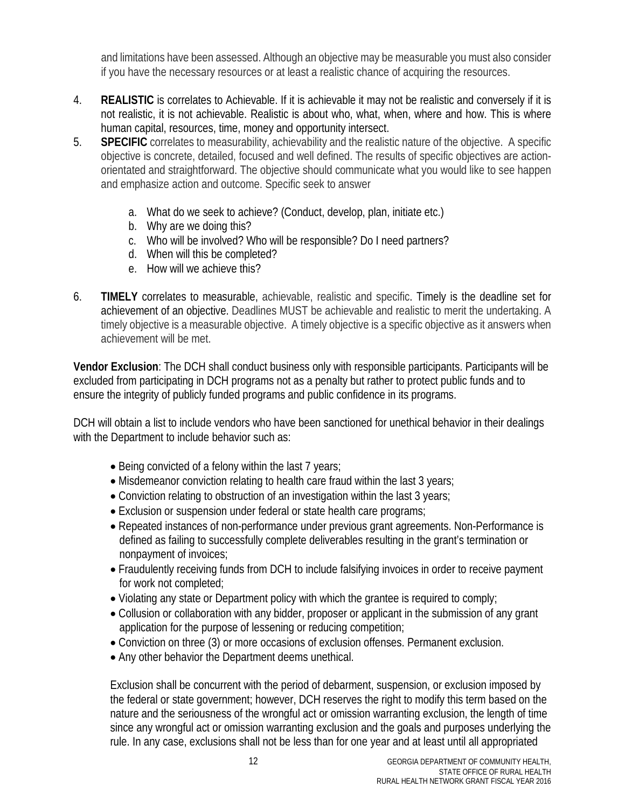and limitations have been assessed. Although an objective may be measurable you must also consider if you have the necessary resources or at least a realistic chance of acquiring the resources.

- 4. **REALISTIC** is correlates to Achievable. If it is achievable it may not be realistic and conversely if it is not realistic, it is not achievable. Realistic is about who, what, when, where and how. This is where human capital, resources, time, money and opportunity intersect.
- 5. **SPECIFIC** correlates to measurability, achievability and the realistic nature of the objective. A specific objective is concrete, detailed, focused and well defined. The results of specific objectives are actionorientated and straightforward. The objective should communicate what you would like to see happen and emphasize action and outcome. Specific seek to answer
	- a. What do we seek to achieve? (Conduct, develop, plan, initiate etc.)
	- b. Why are we doing this?
	- c. Who will be involved? Who will be responsible? Do I need partners?
	- d. When will this be completed?
	- e. How will we achieve this?
- 6. **TIMELY** correlates to measurable, achievable, realistic and specific. Timely is the deadline set for achievement of an objective. Deadlines MUST be achievable and realistic to merit the undertaking. A timely objective is a measurable objective. A timely objective is a specific objective as it answers when achievement will be met.

**Vendor Exclusion**: The DCH shall conduct business only with responsible participants. Participants will be excluded from participating in DCH programs not as a penalty but rather to protect public funds and to ensure the integrity of publicly funded programs and public confidence in its programs.

DCH will obtain a list to include vendors who have been sanctioned for unethical behavior in their dealings with the Department to include behavior such as:

- Being convicted of a felony within the last 7 years;
- Misdemeanor conviction relating to health care fraud within the last 3 years;
- Conviction relating to obstruction of an investigation within the last 3 years;
- Exclusion or suspension under federal or state health care programs;
- Repeated instances of non-performance under previous grant agreements. Non-Performance is defined as failing to successfully complete deliverables resulting in the grant's termination or nonpayment of invoices;
- Fraudulently receiving funds from DCH to include falsifying invoices in order to receive payment for work not completed;
- Violating any state or Department policy with which the grantee is required to comply;
- Collusion or collaboration with any bidder, proposer or applicant in the submission of any grant application for the purpose of lessening or reducing competition;
- Conviction on three (3) or more occasions of exclusion offenses. Permanent exclusion.
- Any other behavior the Department deems unethical.

Exclusion shall be concurrent with the period of debarment, suspension, or exclusion imposed by the federal or state government; however, DCH reserves the right to modify this term based on the nature and the seriousness of the wrongful act or omission warranting exclusion, the length of time since any wrongful act or omission warranting exclusion and the goals and purposes underlying the rule. In any case, exclusions shall not be less than for one year and at least until all appropriated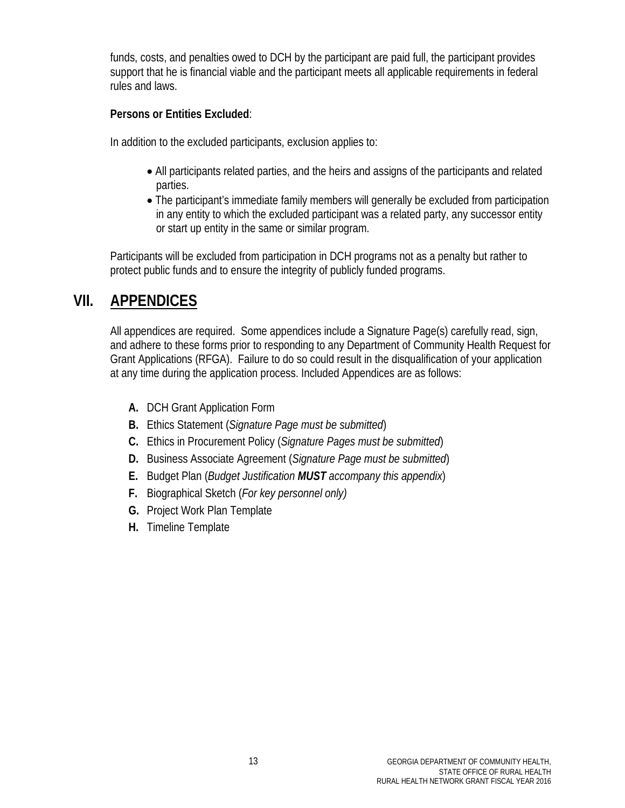funds, costs, and penalties owed to DCH by the participant are paid full, the participant provides support that he is financial viable and the participant meets all applicable requirements in federal rules and laws.

## **Persons or Entities Excluded**:

In addition to the excluded participants, exclusion applies to:

- All participants related parties, and the heirs and assigns of the participants and related parties.
- The participant's immediate family members will generally be excluded from participation in any entity to which the excluded participant was a related party, any successor entity or start up entity in the same or similar program.

Participants will be excluded from participation in DCH programs not as a penalty but rather to protect public funds and to ensure the integrity of publicly funded programs.

# **VII. APPENDICES**

All appendices are required. Some appendices include a Signature Page(s) carefully read, sign, and adhere to these forms prior to responding to any Department of Community Health Request for Grant Applications (RFGA). Failure to do so could result in the disqualification of your application at any time during the application process. Included Appendices are as follows:

- **A.** DCH Grant Application Form
- **B.** Ethics Statement (*Signature Page must be submitted*)
- **C.** Ethics in Procurement Policy (*Signature Pages must be submitted*)
- **D.** Business Associate Agreement (*Signature Page must be submitted*)
- **E.** Budget Plan (*Budget Justification MUST accompany this appendix*)
- **F.** Biographical Sketch (*For key personnel only)*
- **G.** Project Work Plan Template
- **H.** Timeline Template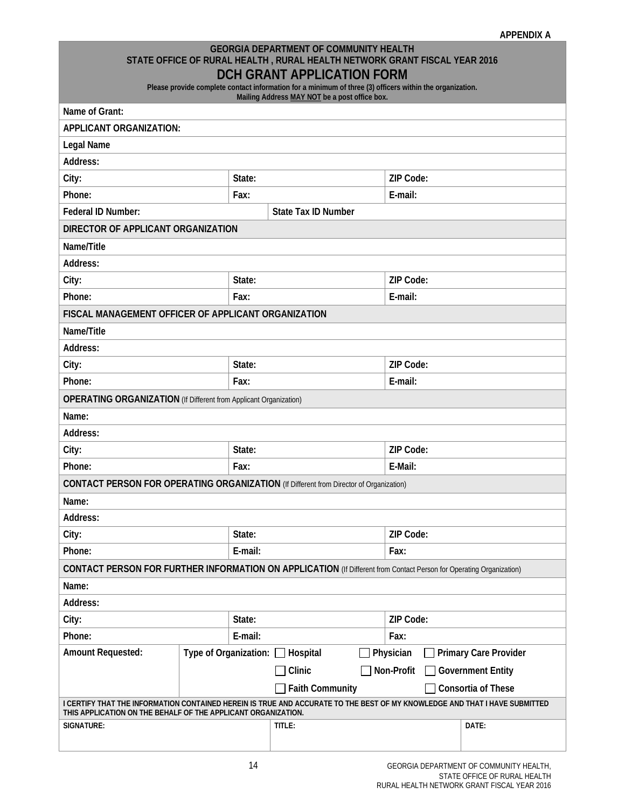#### **GEORGIA DEPARTMENT OF COMMUNITY HEALTH STATE OFFICE OF RURAL HEALTH , RURAL HEALTH NETWORK GRANT FISCAL YEAR 2016 DCH GRANT APPLICATION FORM**

**Please provide complete contact information for a minimum of three (3) officers within the organization. Mailing Address MAY NOT be a post office box.**

| Name of Grant:                                                                                                                                                                              |                       |         | mannig Address <u>MAT NOT</u> be a post unice box. |  |                           |                       |  |  |
|---------------------------------------------------------------------------------------------------------------------------------------------------------------------------------------------|-----------------------|---------|----------------------------------------------------|--|---------------------------|-----------------------|--|--|
| <b>APPLICANT ORGANIZATION:</b>                                                                                                                                                              |                       |         |                                                    |  |                           |                       |  |  |
| Legal Name                                                                                                                                                                                  |                       |         |                                                    |  |                           |                       |  |  |
| Address:                                                                                                                                                                                    |                       |         |                                                    |  |                           |                       |  |  |
| City:                                                                                                                                                                                       |                       | State:  |                                                    |  | ZIP Code:                 |                       |  |  |
| Phone:                                                                                                                                                                                      |                       | Fax:    |                                                    |  | E-mail:                   |                       |  |  |
| Federal ID Number:                                                                                                                                                                          |                       |         | <b>State Tax ID Number</b>                         |  |                           |                       |  |  |
| DIRECTOR OF APPLICANT ORGANIZATION                                                                                                                                                          |                       |         |                                                    |  |                           |                       |  |  |
| Name/Title                                                                                                                                                                                  |                       |         |                                                    |  |                           |                       |  |  |
| Address:                                                                                                                                                                                    |                       |         |                                                    |  |                           |                       |  |  |
| City:                                                                                                                                                                                       |                       | State:  |                                                    |  | ZIP Code:                 |                       |  |  |
| Phone:                                                                                                                                                                                      |                       | Fax:    |                                                    |  | E-mail:                   |                       |  |  |
| FISCAL MANAGEMENT OFFICER OF APPLICANT ORGANIZATION                                                                                                                                         |                       |         |                                                    |  |                           |                       |  |  |
| Name/Title                                                                                                                                                                                  |                       |         |                                                    |  |                           |                       |  |  |
| Address:                                                                                                                                                                                    |                       |         |                                                    |  |                           |                       |  |  |
| City:                                                                                                                                                                                       |                       | State:  |                                                    |  | ZIP Code:                 |                       |  |  |
| Phone:                                                                                                                                                                                      |                       | Fax:    |                                                    |  | E-mail:                   |                       |  |  |
| <b>OPERATING ORGANIZATION</b> (If Different from Applicant Organization)                                                                                                                    |                       |         |                                                    |  |                           |                       |  |  |
| Name:                                                                                                                                                                                       |                       |         |                                                    |  |                           |                       |  |  |
| Address:                                                                                                                                                                                    |                       |         |                                                    |  |                           |                       |  |  |
| City:                                                                                                                                                                                       |                       | State:  |                                                    |  | ZIP Code:                 |                       |  |  |
| Phone:                                                                                                                                                                                      |                       | Fax:    | E-Mail:                                            |  |                           |                       |  |  |
| CONTACT PERSON FOR OPERATING ORGANIZATION (If Different from Director of Organization)                                                                                                      |                       |         |                                                    |  |                           |                       |  |  |
| Name:                                                                                                                                                                                       |                       |         |                                                    |  |                           |                       |  |  |
| Address:                                                                                                                                                                                    |                       |         |                                                    |  |                           |                       |  |  |
| City:                                                                                                                                                                                       |                       | State:  |                                                    |  | ZIP Code:                 |                       |  |  |
| Phone:                                                                                                                                                                                      |                       | E-mail: |                                                    |  | Fax:                      |                       |  |  |
| <b>CONTACT PERSON FOR FURTHER INFORMATION ON APPLICATION</b> (If Different from Contact Person for Operating Organization)                                                                  |                       |         |                                                    |  |                           |                       |  |  |
| Name:                                                                                                                                                                                       |                       |         |                                                    |  |                           |                       |  |  |
| Address:                                                                                                                                                                                    |                       |         |                                                    |  |                           |                       |  |  |
| City:                                                                                                                                                                                       |                       |         | <b>ZIP Code:</b>                                   |  |                           |                       |  |  |
| Phone:<br>E-mail:                                                                                                                                                                           |                       |         |                                                    |  | Fax:                      |                       |  |  |
| <b>Amount Requested:</b>                                                                                                                                                                    | Type of Organization: |         | Hospital                                           |  | Physician                 | Primary Care Provider |  |  |
|                                                                                                                                                                                             |                       |         | Clinic<br>Non-Profit<br><b>Government Entity</b>   |  |                           |                       |  |  |
| <b>Faith Community</b>                                                                                                                                                                      |                       |         |                                                    |  | <b>Consortia of These</b> |                       |  |  |
| I CERTIFY THAT THE INFORMATION CONTAINED HEREIN IS TRUE AND ACCURATE TO THE BEST OF MY KNOWLEDGE AND THAT I HAVE SUBMITTED<br>THIS APPLICATION ON THE BEHALF OF THE APPLICANT ORGANIZATION. |                       |         |                                                    |  |                           |                       |  |  |
| SIGNATURE:                                                                                                                                                                                  |                       |         | TITLE:                                             |  |                           | DATE:                 |  |  |
|                                                                                                                                                                                             |                       |         |                                                    |  |                           |                       |  |  |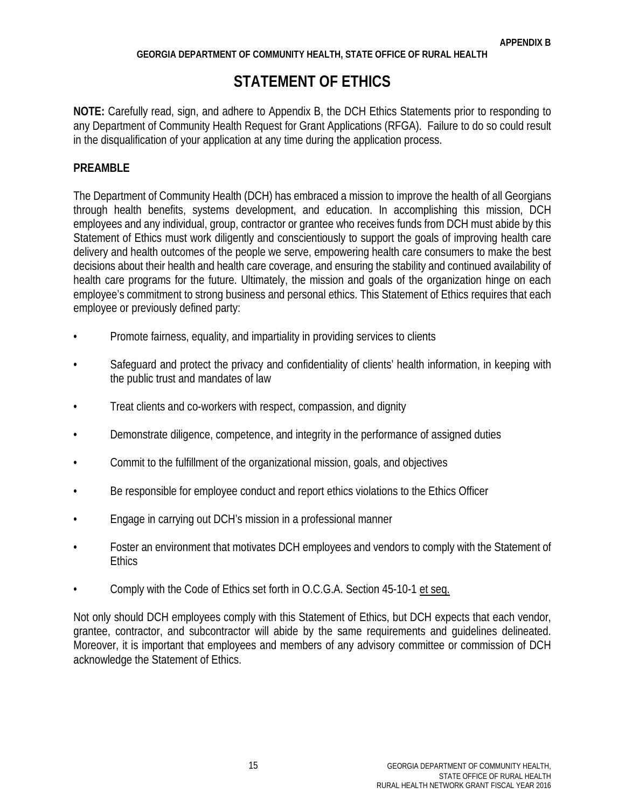#### **GEORGIA DEPARTMENT OF COMMUNITY HEALTH, STATE OFFICE OF RURAL HEALTH**

# **STATEMENT OF ETHICS**

**NOTE:** Carefully read, sign, and adhere to Appendix B, the DCH Ethics Statements prior to responding to any Department of Community Health Request for Grant Applications (RFGA). Failure to do so could result in the disqualification of your application at any time during the application process.

## **PREAMBLE**

The Department of Community Health (DCH) has embraced a mission to improve the health of all Georgians through health benefits, systems development, and education. In accomplishing this mission, DCH employees and any individual, group, contractor or grantee who receives funds from DCH must abide by this Statement of Ethics must work diligently and conscientiously to support the goals of improving health care delivery and health outcomes of the people we serve, empowering health care consumers to make the best decisions about their health and health care coverage, and ensuring the stability and continued availability of health care programs for the future. Ultimately, the mission and goals of the organization hinge on each employee's commitment to strong business and personal ethics. This Statement of Ethics requires that each employee or previously defined party:

- Promote fairness, equality, and impartiality in providing services to clients
- Safeguard and protect the privacy and confidentiality of clients' health information, in keeping with the public trust and mandates of law
- Treat clients and co-workers with respect, compassion, and dignity
- Demonstrate diligence, competence, and integrity in the performance of assigned duties
- Commit to the fulfillment of the organizational mission, goals, and objectives
- Be responsible for employee conduct and report ethics violations to the Ethics Officer
- Engage in carrying out DCH's mission in a professional manner
- Foster an environment that motivates DCH employees and vendors to comply with the Statement of **Ethics**
- Comply with the Code of Ethics set forth in O.C.G.A. Section 45-10-1 et seq.

Not only should DCH employees comply with this Statement of Ethics, but DCH expects that each vendor, grantee, contractor, and subcontractor will abide by the same requirements and guidelines delineated. Moreover, it is important that employees and members of any advisory committee or commission of DCH acknowledge the Statement of Ethics.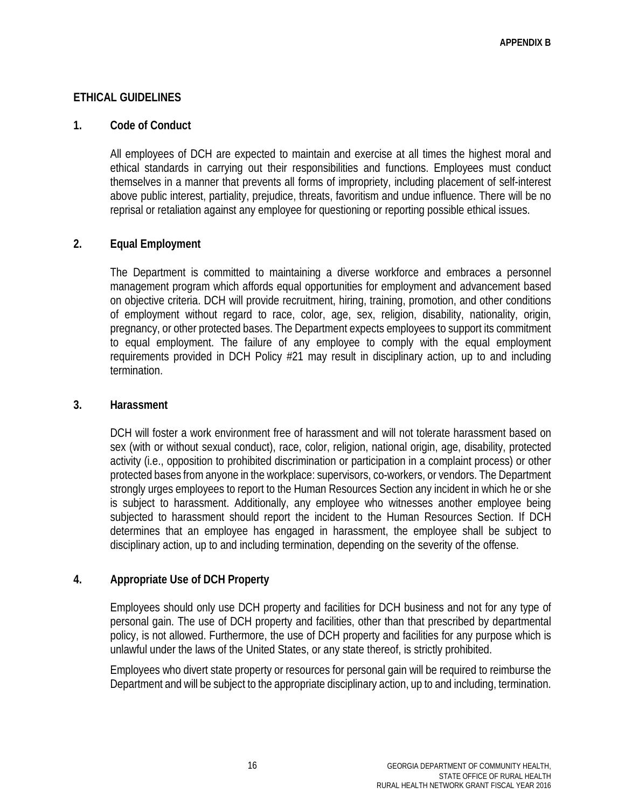## **ETHICAL GUIDELINES**

### **1. Code of Conduct**

All employees of DCH are expected to maintain and exercise at all times the highest moral and ethical standards in carrying out their responsibilities and functions. Employees must conduct themselves in a manner that prevents all forms of impropriety, including placement of self-interest above public interest, partiality, prejudice, threats, favoritism and undue influence. There will be no reprisal or retaliation against any employee for questioning or reporting possible ethical issues.

## **2. Equal Employment**

The Department is committed to maintaining a diverse workforce and embraces a personnel management program which affords equal opportunities for employment and advancement based on objective criteria. DCH will provide recruitment, hiring, training, promotion, and other conditions of employment without regard to race, color, age, sex, religion, disability, nationality, origin, pregnancy, or other protected bases. The Department expects employees to support its commitment to equal employment. The failure of any employee to comply with the equal employment requirements provided in DCH Policy #21 may result in disciplinary action, up to and including termination.

### **3. Harassment**

DCH will foster a work environment free of harassment and will not tolerate harassment based on sex (with or without sexual conduct), race, color, religion, national origin, age, disability, protected activity (i.e., opposition to prohibited discrimination or participation in a complaint process) or other protected bases from anyone in the workplace: supervisors, co-workers, or vendors. The Department strongly urges employees to report to the Human Resources Section any incident in which he or she is subject to harassment. Additionally, any employee who witnesses another employee being subjected to harassment should report the incident to the Human Resources Section. If DCH determines that an employee has engaged in harassment, the employee shall be subject to disciplinary action, up to and including termination, depending on the severity of the offense.

## **4. Appropriate Use of DCH Property**

Employees should only use DCH property and facilities for DCH business and not for any type of personal gain. The use of DCH property and facilities, other than that prescribed by departmental policy, is not allowed. Furthermore, the use of DCH property and facilities for any purpose which is unlawful under the laws of the United States, or any state thereof, is strictly prohibited.

Employees who divert state property or resources for personal gain will be required to reimburse the Department and will be subject to the appropriate disciplinary action, up to and including, termination.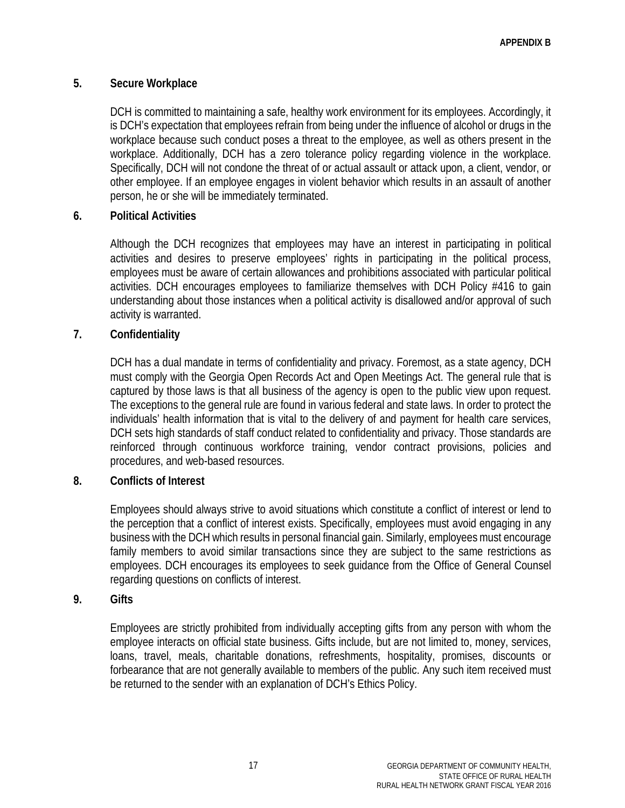## **5. Secure Workplace**

DCH is committed to maintaining a safe, healthy work environment for its employees. Accordingly, it is DCH's expectation that employees refrain from being under the influence of alcohol or drugs in the workplace because such conduct poses a threat to the employee, as well as others present in the workplace. Additionally, DCH has a zero tolerance policy regarding violence in the workplace. Specifically, DCH will not condone the threat of or actual assault or attack upon, a client, vendor, or other employee. If an employee engages in violent behavior which results in an assault of another person, he or she will be immediately terminated.

## **6. Political Activities**

Although the DCH recognizes that employees may have an interest in participating in political activities and desires to preserve employees' rights in participating in the political process, employees must be aware of certain allowances and prohibitions associated with particular political activities. DCH encourages employees to familiarize themselves with DCH Policy #416 to gain understanding about those instances when a political activity is disallowed and/or approval of such activity is warranted.

## **7. Confidentiality**

DCH has a dual mandate in terms of confidentiality and privacy. Foremost, as a state agency, DCH must comply with the Georgia Open Records Act and Open Meetings Act. The general rule that is captured by those laws is that all business of the agency is open to the public view upon request. The exceptions to the general rule are found in various federal and state laws. In order to protect the individuals' health information that is vital to the delivery of and payment for health care services, DCH sets high standards of staff conduct related to confidentiality and privacy. Those standards are reinforced through continuous workforce training, vendor contract provisions, policies and procedures, and web-based resources.

## **8. Conflicts of Interest**

Employees should always strive to avoid situations which constitute a conflict of interest or lend to the perception that a conflict of interest exists. Specifically, employees must avoid engaging in any business with the DCH which results in personal financial gain. Similarly, employees must encourage family members to avoid similar transactions since they are subject to the same restrictions as employees. DCH encourages its employees to seek guidance from the Office of General Counsel regarding questions on conflicts of interest.

## **9. Gifts**

Employees are strictly prohibited from individually accepting gifts from any person with whom the employee interacts on official state business. Gifts include, but are not limited to, money, services, loans, travel, meals, charitable donations, refreshments, hospitality, promises, discounts or forbearance that are not generally available to members of the public. Any such item received must be returned to the sender with an explanation of DCH's Ethics Policy.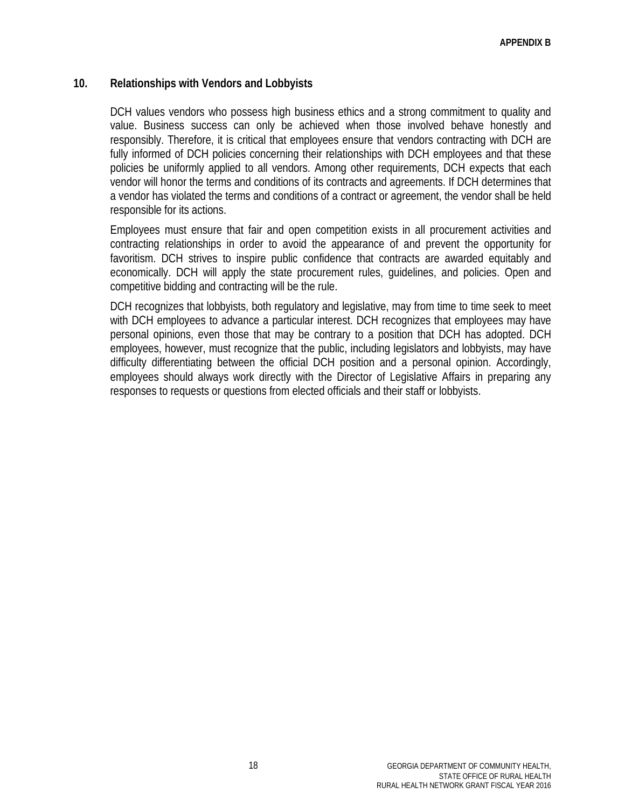### **10. Relationships with Vendors and Lobbyists**

DCH values vendors who possess high business ethics and a strong commitment to quality and value. Business success can only be achieved when those involved behave honestly and responsibly. Therefore, it is critical that employees ensure that vendors contracting with DCH are fully informed of DCH policies concerning their relationships with DCH employees and that these policies be uniformly applied to all vendors. Among other requirements, DCH expects that each vendor will honor the terms and conditions of its contracts and agreements. If DCH determines that a vendor has violated the terms and conditions of a contract or agreement, the vendor shall be held responsible for its actions.

Employees must ensure that fair and open competition exists in all procurement activities and contracting relationships in order to avoid the appearance of and prevent the opportunity for favoritism. DCH strives to inspire public confidence that contracts are awarded equitably and economically. DCH will apply the state procurement rules, guidelines, and policies. Open and competitive bidding and contracting will be the rule.

DCH recognizes that lobbyists, both regulatory and legislative, may from time to time seek to meet with DCH employees to advance a particular interest. DCH recognizes that employees may have personal opinions, even those that may be contrary to a position that DCH has adopted. DCH employees, however, must recognize that the public, including legislators and lobbyists, may have difficulty differentiating between the official DCH position and a personal opinion. Accordingly, employees should always work directly with the Director of Legislative Affairs in preparing any responses to requests or questions from elected officials and their staff or lobbyists.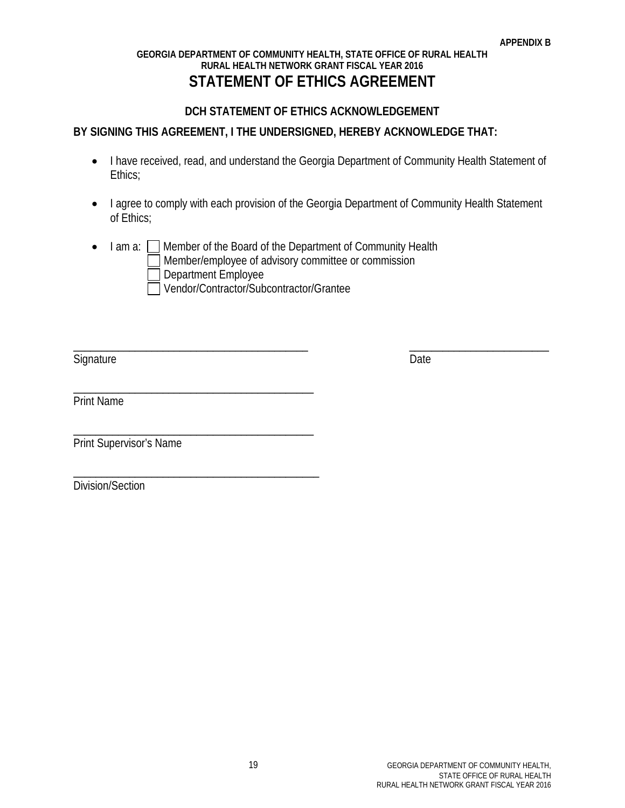#### **GEORGIA DEPARTMENT OF COMMUNITY HEALTH, STATE OFFICE OF RURAL HEALTH RURAL HEALTH NETWORK GRANT FISCAL YEAR 2016 STATEMENT OF ETHICS AGREEMENT**

## **DCH STATEMENT OF ETHICS ACKNOWLEDGEMENT**

## **BY SIGNING THIS AGREEMENT, I THE UNDERSIGNED, HEREBY ACKNOWLEDGE THAT:**

- I have received, read, and understand the Georgia Department of Community Health Statement of Ethics;
- I agree to comply with each provision of the Georgia Department of Community Health Statement of Ethics;

\_\_\_\_\_\_\_\_\_\_\_\_\_\_\_\_\_\_\_\_\_\_\_\_\_\_\_\_\_\_\_\_\_\_\_\_\_\_\_\_\_\_ \_\_\_\_\_\_\_\_\_\_\_\_\_\_\_\_\_\_\_\_\_\_\_\_\_

• I am a:  $\Box$  Member of the Board of the Department of Community Health Member/employee of advisory committee or commission Department Employee Vendor/Contractor/Subcontractor/Grantee

Signature Date

Print Name

Print Supervisor's Name

\_\_\_\_\_\_\_\_\_\_\_\_\_\_\_\_\_\_\_\_\_\_\_\_\_\_\_\_\_\_\_\_\_\_\_\_\_\_\_\_\_\_\_

\_\_\_\_\_\_\_\_\_\_\_\_\_\_\_\_\_\_\_\_\_\_\_\_\_\_\_\_\_\_\_\_\_\_\_\_\_\_\_\_\_\_\_

\_\_\_\_\_\_\_\_\_\_\_\_\_\_\_\_\_\_\_\_\_\_\_\_\_\_\_\_\_\_\_\_\_\_\_\_\_\_\_\_\_\_\_\_

Division/Section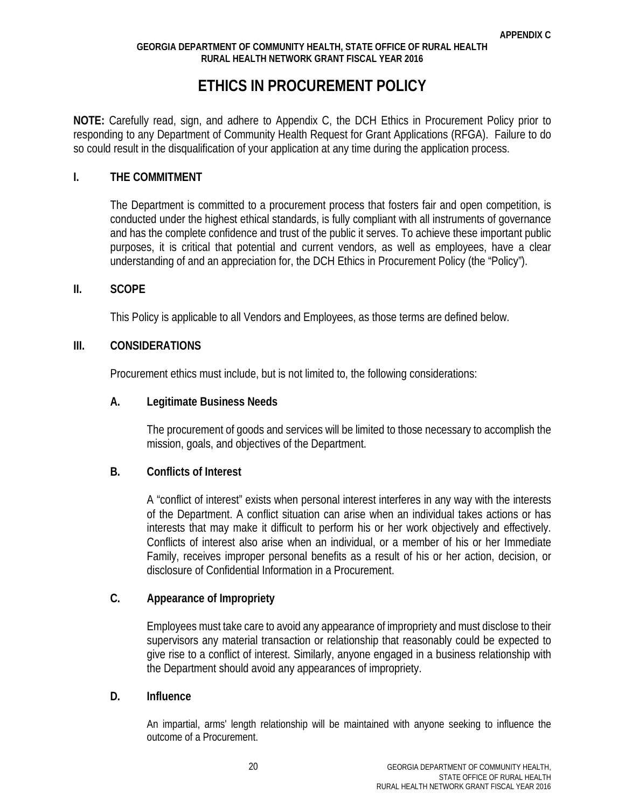## **ETHICS IN PROCUREMENT POLICY**

**NOTE:** Carefully read, sign, and adhere to Appendix C, the DCH Ethics in Procurement Policy prior to responding to any Department of Community Health Request for Grant Applications (RFGA). Failure to do so could result in the disqualification of your application at any time during the application process.

### **I. THE COMMITMENT**

The Department is committed to a procurement process that fosters fair and open competition, is conducted under the highest ethical standards, is fully compliant with all instruments of governance and has the complete confidence and trust of the public it serves. To achieve these important public purposes, it is critical that potential and current vendors, as well as employees, have a clear understanding of and an appreciation for, the DCH Ethics in Procurement Policy (the "Policy").

#### **II. SCOPE**

This Policy is applicable to all Vendors and Employees, as those terms are defined below.

### **III. CONSIDERATIONS**

Procurement ethics must include, but is not limited to, the following considerations:

### **A. Legitimate Business Needs**

The procurement of goods and services will be limited to those necessary to accomplish the mission, goals, and objectives of the Department.

### **B. Conflicts of Interest**

A "conflict of interest" exists when personal interest interferes in any way with the interests of the Department. A conflict situation can arise when an individual takes actions or has interests that may make it difficult to perform his or her work objectively and effectively. Conflicts of interest also arise when an individual, or a member of his or her Immediate Family, receives improper personal benefits as a result of his or her action, decision, or disclosure of Confidential Information in a Procurement.

## **C. Appearance of Impropriety**

Employees must take care to avoid any appearance of impropriety and must disclose to their supervisors any material transaction or relationship that reasonably could be expected to give rise to a conflict of interest. Similarly, anyone engaged in a business relationship with the Department should avoid any appearances of impropriety.

#### **D. Influence**

An impartial, arms' length relationship will be maintained with anyone seeking to influence the outcome of a Procurement.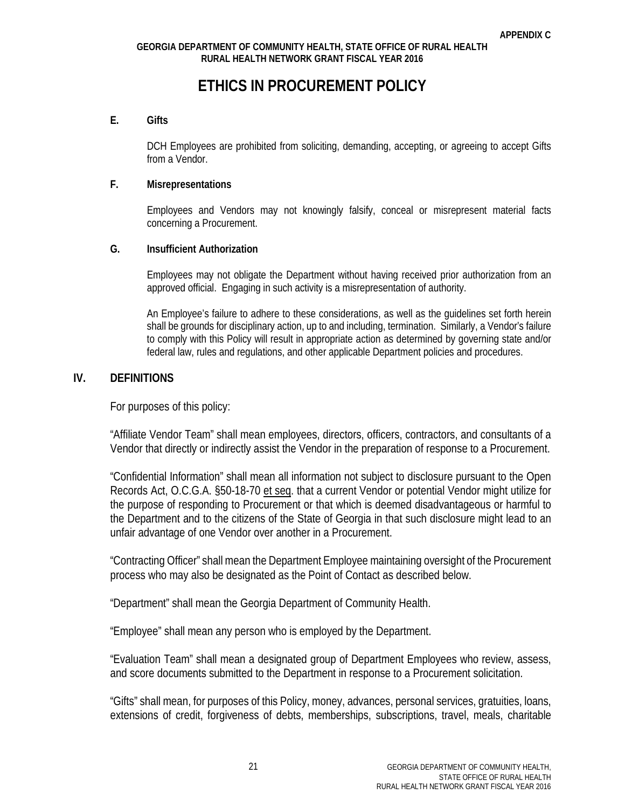## **ETHICS IN PROCUREMENT POLICY**

#### **E. Gifts**

DCH Employees are prohibited from soliciting, demanding, accepting, or agreeing to accept Gifts from a Vendor.

#### **F. Misrepresentations**

Employees and Vendors may not knowingly falsify, conceal or misrepresent material facts concerning a Procurement.

#### **G. Insufficient Authorization**

Employees may not obligate the Department without having received prior authorization from an approved official. Engaging in such activity is a misrepresentation of authority.

An Employee's failure to adhere to these considerations, as well as the guidelines set forth herein shall be grounds for disciplinary action, up to and including, termination. Similarly, a Vendor's failure to comply with this Policy will result in appropriate action as determined by governing state and/or federal law, rules and regulations, and other applicable Department policies and procedures.

#### **IV. DEFINITIONS**

For purposes of this policy:

"Affiliate Vendor Team" shall mean employees, directors, officers, contractors, and consultants of a Vendor that directly or indirectly assist the Vendor in the preparation of response to a Procurement.

"Confidential Information" shall mean all information not subject to disclosure pursuant to the Open Records Act, O.C.G.A. §50-18-70 et seq. that a current Vendor or potential Vendor might utilize for the purpose of responding to Procurement or that which is deemed disadvantageous or harmful to the Department and to the citizens of the State of Georgia in that such disclosure might lead to an unfair advantage of one Vendor over another in a Procurement.

"Contracting Officer" shall mean the Department Employee maintaining oversight of the Procurement process who may also be designated as the Point of Contact as described below.

"Department" shall mean the Georgia Department of Community Health.

"Employee" shall mean any person who is employed by the Department.

"Evaluation Team" shall mean a designated group of Department Employees who review, assess, and score documents submitted to the Department in response to a Procurement solicitation.

"Gifts" shall mean, for purposes of this Policy, money, advances, personal services, gratuities, loans, extensions of credit, forgiveness of debts, memberships, subscriptions, travel, meals, charitable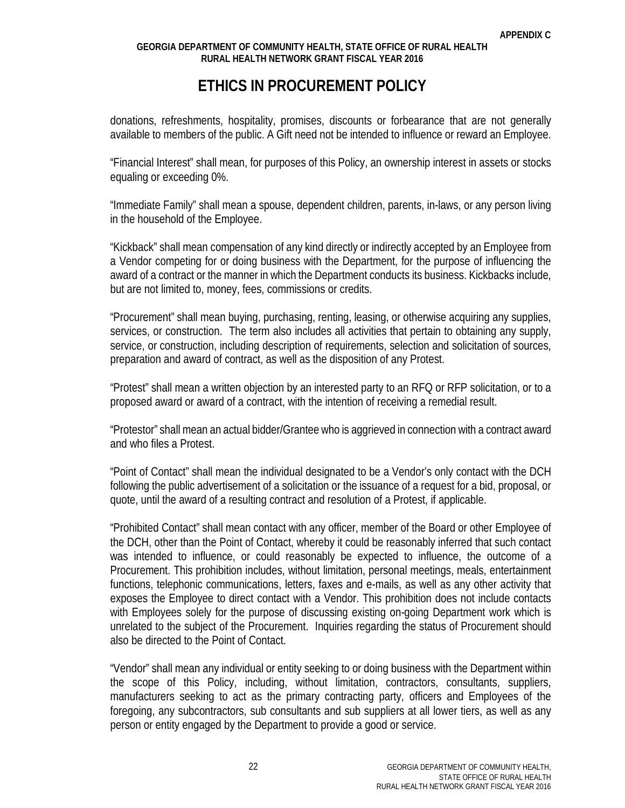## **ETHICS IN PROCUREMENT POLICY**

donations, refreshments, hospitality, promises, discounts or forbearance that are not generally available to members of the public. A Gift need not be intended to influence or reward an Employee.

"Financial Interest" shall mean, for purposes of this Policy, an ownership interest in assets or stocks equaling or exceeding 0%.

"Immediate Family" shall mean a spouse, dependent children, parents, in-laws, or any person living in the household of the Employee.

"Kickback" shall mean compensation of any kind directly or indirectly accepted by an Employee from a Vendor competing for or doing business with the Department, for the purpose of influencing the award of a contract or the manner in which the Department conducts its business. Kickbacks include, but are not limited to, money, fees, commissions or credits.

"Procurement" shall mean buying, purchasing, renting, leasing, or otherwise acquiring any supplies, services, or construction. The term also includes all activities that pertain to obtaining any supply, service, or construction, including description of requirements, selection and solicitation of sources, preparation and award of contract, as well as the disposition of any Protest.

"Protest" shall mean a written objection by an interested party to an RFQ or RFP solicitation, or to a proposed award or award of a contract, with the intention of receiving a remedial result.

"Protestor" shall mean an actual bidder/Grantee who is aggrieved in connection with a contract award and who files a Protest.

"Point of Contact" shall mean the individual designated to be a Vendor's only contact with the DCH following the public advertisement of a solicitation or the issuance of a request for a bid, proposal, or quote, until the award of a resulting contract and resolution of a Protest, if applicable.

"Prohibited Contact" shall mean contact with any officer, member of the Board or other Employee of the DCH, other than the Point of Contact, whereby it could be reasonably inferred that such contact was intended to influence, or could reasonably be expected to influence, the outcome of a Procurement. This prohibition includes, without limitation, personal meetings, meals, entertainment functions, telephonic communications, letters, faxes and e-mails, as well as any other activity that exposes the Employee to direct contact with a Vendor. This prohibition does not include contacts with Employees solely for the purpose of discussing existing on-going Department work which is unrelated to the subject of the Procurement. Inquiries regarding the status of Procurement should also be directed to the Point of Contact.

"Vendor" shall mean any individual or entity seeking to or doing business with the Department within the scope of this Policy, including, without limitation, contractors, consultants, suppliers, manufacturers seeking to act as the primary contracting party, officers and Employees of the foregoing, any subcontractors, sub consultants and sub suppliers at all lower tiers, as well as any person or entity engaged by the Department to provide a good or service.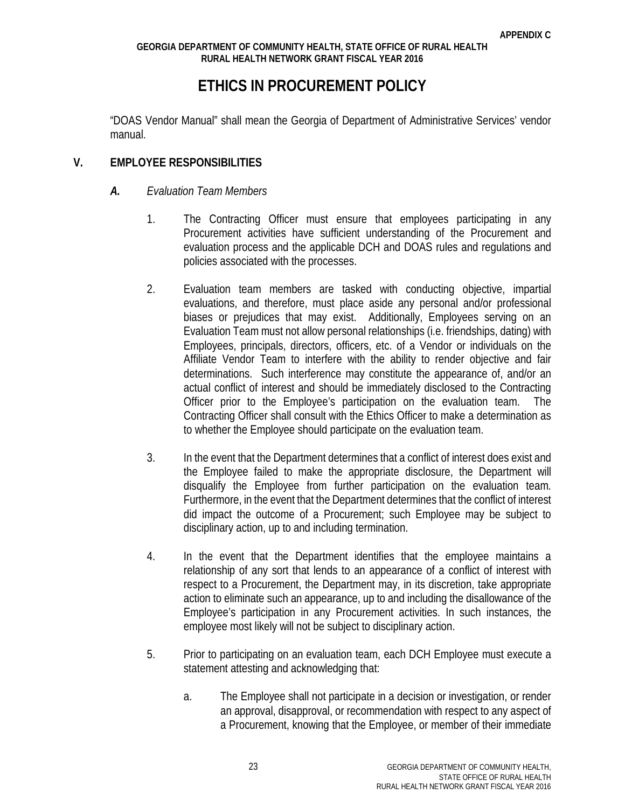## **ETHICS IN PROCUREMENT POLICY**

"DOAS Vendor Manual" shall mean the Georgia of Department of Administrative Services' vendor manual.

### **V. EMPLOYEE RESPONSIBILITIES**

### *A. Evaluation Team Members*

- 1. The Contracting Officer must ensure that employees participating in any Procurement activities have sufficient understanding of the Procurement and evaluation process and the applicable DCH and DOAS rules and regulations and policies associated with the processes.
- 2. Evaluation team members are tasked with conducting objective, impartial evaluations, and therefore, must place aside any personal and/or professional biases or prejudices that may exist. Additionally, Employees serving on an Evaluation Team must not allow personal relationships (i.e. friendships, dating) with Employees, principals, directors, officers, etc. of a Vendor or individuals on the Affiliate Vendor Team to interfere with the ability to render objective and fair determinations. Such interference may constitute the appearance of, and/or an actual conflict of interest and should be immediately disclosed to the Contracting Officer prior to the Employee's participation on the evaluation team. The Contracting Officer shall consult with the Ethics Officer to make a determination as to whether the Employee should participate on the evaluation team.
- 3. In the event that the Department determines that a conflict of interest does exist and the Employee failed to make the appropriate disclosure, the Department will disqualify the Employee from further participation on the evaluation team. Furthermore, in the event that the Department determines that the conflict of interest did impact the outcome of a Procurement; such Employee may be subject to disciplinary action, up to and including termination.
- 4. In the event that the Department identifies that the employee maintains a relationship of any sort that lends to an appearance of a conflict of interest with respect to a Procurement, the Department may, in its discretion, take appropriate action to eliminate such an appearance, up to and including the disallowance of the Employee's participation in any Procurement activities. In such instances, the employee most likely will not be subject to disciplinary action.
- 5. Prior to participating on an evaluation team, each DCH Employee must execute a statement attesting and acknowledging that:
	- a. The Employee shall not participate in a decision or investigation, or render an approval, disapproval, or recommendation with respect to any aspect of a Procurement, knowing that the Employee, or member of their immediate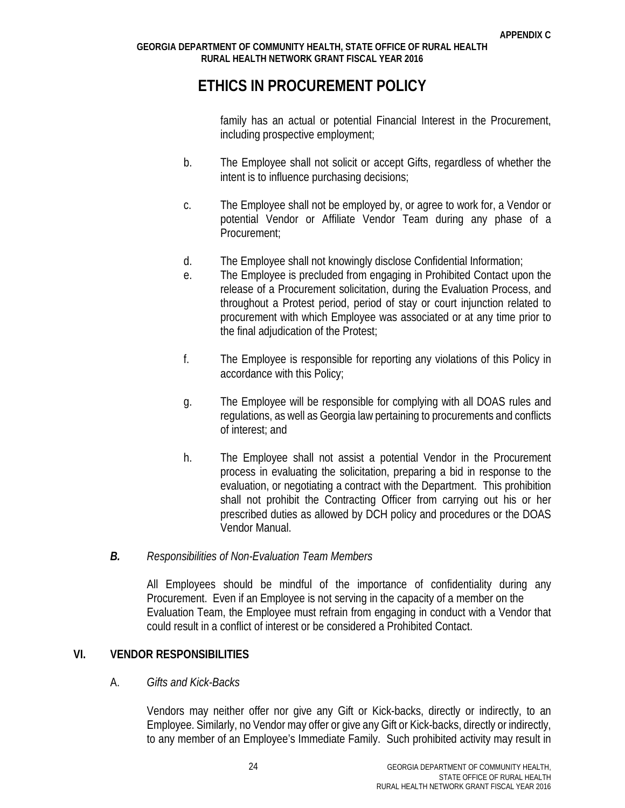## **ETHICS IN PROCUREMENT POLICY**

family has an actual or potential Financial Interest in the Procurement, including prospective employment;

- b. The Employee shall not solicit or accept Gifts, regardless of whether the intent is to influence purchasing decisions;
- c. The Employee shall not be employed by, or agree to work for, a Vendor or potential Vendor or Affiliate Vendor Team during any phase of a Procurement;
- d. The Employee shall not knowingly disclose Confidential Information;
- e. The Employee is precluded from engaging in Prohibited Contact upon the release of a Procurement solicitation, during the Evaluation Process, and throughout a Protest period, period of stay or court injunction related to procurement with which Employee was associated or at any time prior to the final adjudication of the Protest;
- f. The Employee is responsible for reporting any violations of this Policy in accordance with this Policy;
- g. The Employee will be responsible for complying with all DOAS rules and regulations, as well as Georgia law pertaining to procurements and conflicts of interest; and
- h. The Employee shall not assist a potential Vendor in the Procurement process in evaluating the solicitation, preparing a bid in response to the evaluation, or negotiating a contract with the Department. This prohibition shall not prohibit the Contracting Officer from carrying out his or her prescribed duties as allowed by DCH policy and procedures or the DOAS Vendor Manual.

## *B. Responsibilities of Non-Evaluation Team Members*

All Employees should be mindful of the importance of confidentiality during any Procurement. Even if an Employee is not serving in the capacity of a member on the Evaluation Team, the Employee must refrain from engaging in conduct with a Vendor that could result in a conflict of interest or be considered a Prohibited Contact.

## **VI. VENDOR RESPONSIBILITIES**

## A. *Gifts and Kick-Backs*

Vendors may neither offer nor give any Gift or Kick-backs, directly or indirectly, to an Employee. Similarly, no Vendor may offer or give any Gift or Kick-backs, directly or indirectly, to any member of an Employee's Immediate Family. Such prohibited activity may result in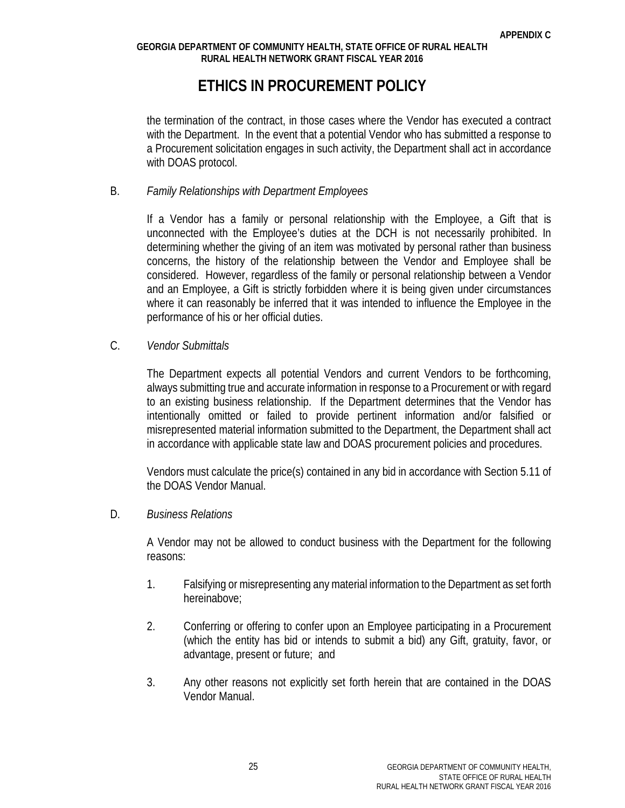## **ETHICS IN PROCUREMENT POLICY**

the termination of the contract, in those cases where the Vendor has executed a contract with the Department. In the event that a potential Vendor who has submitted a response to a Procurement solicitation engages in such activity, the Department shall act in accordance with DOAS protocol.

### B. *Family Relationships with Department Employees*

If a Vendor has a family or personal relationship with the Employee, a Gift that is unconnected with the Employee's duties at the DCH is not necessarily prohibited. In determining whether the giving of an item was motivated by personal rather than business concerns, the history of the relationship between the Vendor and Employee shall be considered. However, regardless of the family or personal relationship between a Vendor and an Employee, a Gift is strictly forbidden where it is being given under circumstances where it can reasonably be inferred that it was intended to influence the Employee in the performance of his or her official duties.

### C. *Vendor Submittals*

The Department expects all potential Vendors and current Vendors to be forthcoming, always submitting true and accurate information in response to a Procurement or with regard to an existing business relationship. If the Department determines that the Vendor has intentionally omitted or failed to provide pertinent information and/or falsified or misrepresented material information submitted to the Department, the Department shall act in accordance with applicable state law and DOAS procurement policies and procedures.

Vendors must calculate the price(s) contained in any bid in accordance with Section 5.11 of the DOAS Vendor Manual.

## D. *Business Relations*

A Vendor may not be allowed to conduct business with the Department for the following reasons:

- 1. Falsifying or misrepresenting any material information to the Department as set forth hereinabove;
- 2. Conferring or offering to confer upon an Employee participating in a Procurement (which the entity has bid or intends to submit a bid) any Gift, gratuity, favor, or advantage, present or future; and
- 3. Any other reasons not explicitly set forth herein that are contained in the DOAS Vendor Manual.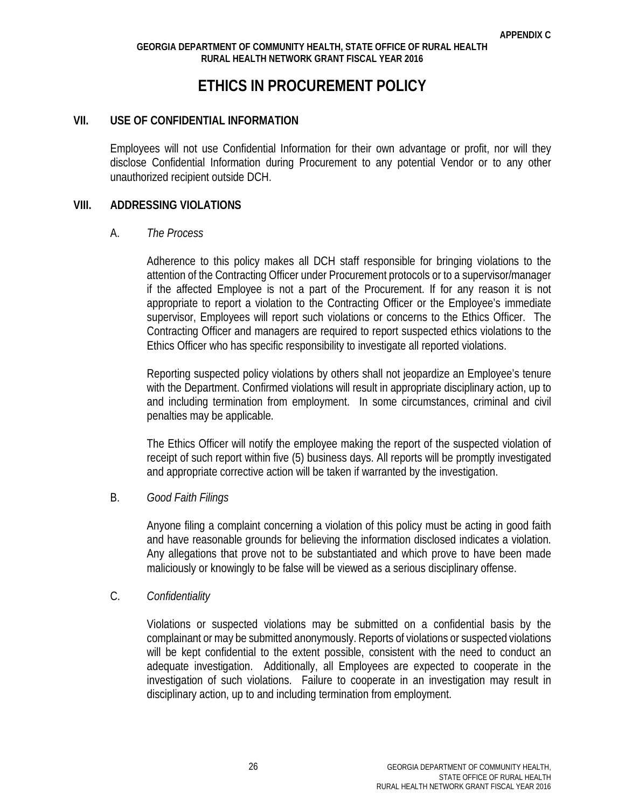## **ETHICS IN PROCUREMENT POLICY**

#### **VII. USE OF CONFIDENTIAL INFORMATION**

Employees will not use Confidential Information for their own advantage or profit, nor will they disclose Confidential Information during Procurement to any potential Vendor or to any other unauthorized recipient outside DCH.

#### **VIII. ADDRESSING VIOLATIONS**

#### A. *The Process*

Adherence to this policy makes all DCH staff responsible for bringing violations to the attention of the Contracting Officer under Procurement protocols or to a supervisor/manager if the affected Employee is not a part of the Procurement. If for any reason it is not appropriate to report a violation to the Contracting Officer or the Employee's immediate supervisor, Employees will report such violations or concerns to the Ethics Officer. The Contracting Officer and managers are required to report suspected ethics violations to the Ethics Officer who has specific responsibility to investigate all reported violations.

Reporting suspected policy violations by others shall not jeopardize an Employee's tenure with the Department. Confirmed violations will result in appropriate disciplinary action, up to and including termination from employment. In some circumstances, criminal and civil penalties may be applicable.

The Ethics Officer will notify the employee making the report of the suspected violation of receipt of such report within five (5) business days. All reports will be promptly investigated and appropriate corrective action will be taken if warranted by the investigation.

#### B. *Good Faith Filings*

Anyone filing a complaint concerning a violation of this policy must be acting in good faith and have reasonable grounds for believing the information disclosed indicates a violation. Any allegations that prove not to be substantiated and which prove to have been made maliciously or knowingly to be false will be viewed as a serious disciplinary offense.

#### C. *Confidentiality*

Violations or suspected violations may be submitted on a confidential basis by the complainant or may be submitted anonymously. Reports of violations or suspected violations will be kept confidential to the extent possible, consistent with the need to conduct an adequate investigation. Additionally, all Employees are expected to cooperate in the investigation of such violations. Failure to cooperate in an investigation may result in disciplinary action, up to and including termination from employment.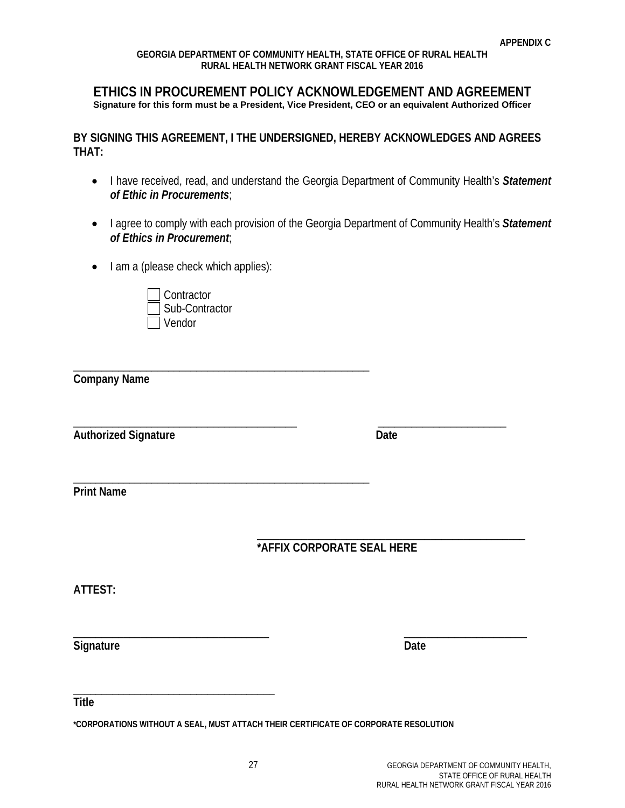#### **ETHICS IN PROCUREMENT POLICY ACKNOWLEDGEMENT AND AGREEMENT Signature for this form must be a President, Vice President, CEO or an equivalent Authorized Officer**

**BY SIGNING THIS AGREEMENT, I THE UNDERSIGNED, HEREBY ACKNOWLEDGES AND AGREES THAT:** 

- I have received, read, and understand the Georgia Department of Community Health's *Statement of Ethic in Procurements*;
- I agree to comply with each provision of the Georgia Department of Community Health's *Statement of Ethics in Procurement*;
- I am a (please check which applies):



\_\_\_\_\_\_\_\_\_\_\_\_\_\_\_\_\_\_\_\_\_\_\_\_\_\_\_\_\_\_\_\_\_\_\_\_\_\_\_\_\_\_\_\_\_\_\_\_\_\_\_\_\_

\_\_\_\_\_\_\_\_\_\_\_\_\_\_\_\_\_\_\_\_\_\_\_\_\_\_\_\_\_\_\_\_\_\_\_\_\_\_\_\_\_\_\_\_\_\_\_\_\_\_\_\_\_ **Company Name**

\_\_\_\_\_\_\_\_\_\_\_\_\_\_\_\_\_\_\_\_\_\_\_\_\_\_\_\_\_\_\_\_\_\_\_\_\_\_\_\_ \_\_\_\_\_\_\_\_\_\_\_\_\_\_\_\_\_\_\_\_\_\_\_ Authorized Signature **Date** Date

**Print Name**

\_\_\_\_\_\_\_\_\_\_\_\_\_\_\_\_\_\_\_\_\_\_\_\_\_\_\_\_\_\_\_\_\_\_\_\_\_\_\_\_\_\_\_\_\_\_\_\_ **\*AFFIX CORPORATE SEAL HERE**

**ATTEST:** 

**Signature Date** 

\_\_\_\_\_\_\_\_\_\_\_\_\_\_\_\_\_\_\_\_\_\_\_\_\_\_\_\_\_\_\_\_\_\_\_ \_\_\_\_\_\_\_\_\_\_\_\_\_\_\_\_\_\_\_\_\_\_

\_\_\_\_\_\_\_\_\_\_\_\_\_\_\_\_\_\_\_\_\_\_\_\_\_\_\_\_\_\_\_\_\_\_\_\_ **Title**

**\*CORPORATIONS WITHOUT A SEAL, MUST ATTACH THEIR CERTIFICATE OF CORPORATE RESOLUTION**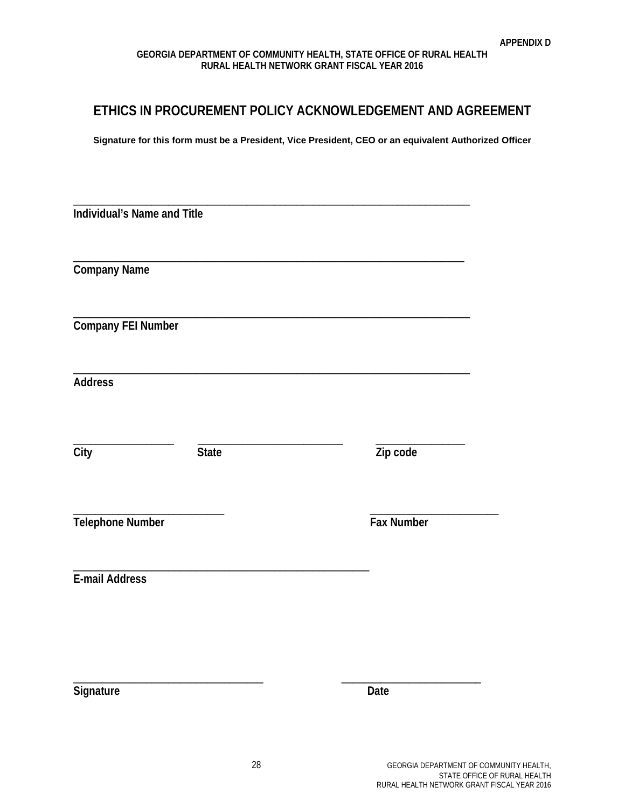## **ETHICS IN PROCUREMENT POLICY ACKNOWLEDGEMENT AND AGREEMENT**

**Signature for this form must be a President, Vice President, CEO or an equivalent Authorized Officer**

| Zip code   |
|------------|
| Fax Number |
|            |
|            |
| Date       |
|            |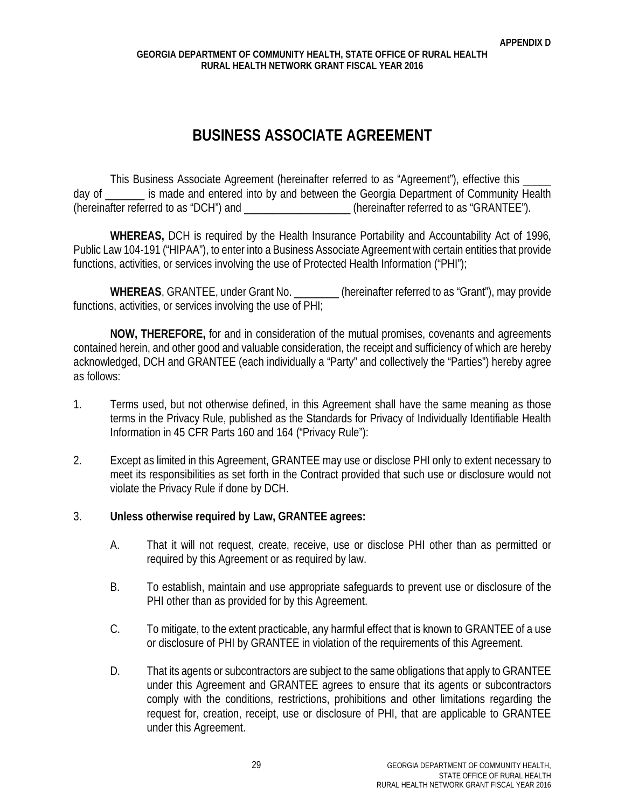## **BUSINESS ASSOCIATE AGREEMENT**

This Business Associate Agreement (hereinafter referred to as "Agreement"), effective this day of is made and entered into by and between the Georgia Department of Community Health (hereinafter referred to as "DCH") and  $\blacksquare$  (hereinafter referred to as "GRANTEE").

**WHEREAS,** DCH is required by the Health Insurance Portability and Accountability Act of 1996, Public Law 104-191 ("HIPAA"), to enter into a Business Associate Agreement with certain entities that provide functions, activities, or services involving the use of Protected Health Information ("PHI");

WHEREAS, GRANTEE, under Grant No. *Conserversion (hereinafter referred to as "Grant")*, may provide functions, activities, or services involving the use of PHI;

**NOW, THEREFORE,** for and in consideration of the mutual promises, covenants and agreements contained herein, and other good and valuable consideration, the receipt and sufficiency of which are hereby acknowledged, DCH and GRANTEE (each individually a "Party" and collectively the "Parties") hereby agree as follows:

- 1. Terms used, but not otherwise defined, in this Agreement shall have the same meaning as those terms in the Privacy Rule, published as the Standards for Privacy of Individually Identifiable Health Information in 45 CFR Parts 160 and 164 ("Privacy Rule"):
- 2. Except as limited in this Agreement, GRANTEE may use or disclose PHI only to extent necessary to meet its responsibilities as set forth in the Contract provided that such use or disclosure would not violate the Privacy Rule if done by DCH.

## 3. **Unless otherwise required by Law, GRANTEE agrees:**

- A. That it will not request, create, receive, use or disclose PHI other than as permitted or required by this Agreement or as required by law.
- B. To establish, maintain and use appropriate safeguards to prevent use or disclosure of the PHI other than as provided for by this Agreement.
- C. To mitigate, to the extent practicable, any harmful effect that is known to GRANTEE of a use or disclosure of PHI by GRANTEE in violation of the requirements of this Agreement.
- D. That its agents or subcontractors are subject to the same obligations that apply to GRANTEE under this Agreement and GRANTEE agrees to ensure that its agents or subcontractors comply with the conditions, restrictions, prohibitions and other limitations regarding the request for, creation, receipt, use or disclosure of PHI, that are applicable to GRANTEE under this Agreement.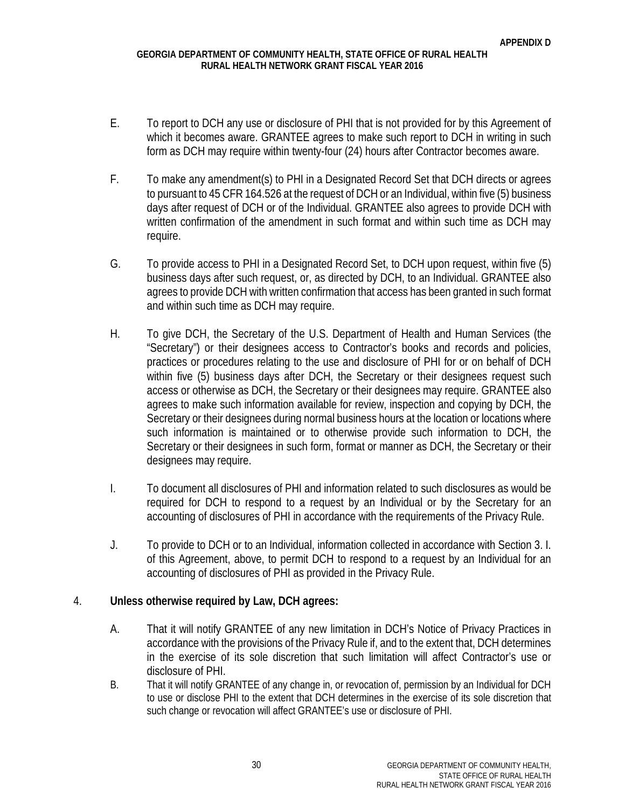- E. To report to DCH any use or disclosure of PHI that is not provided for by this Agreement of which it becomes aware. GRANTEE agrees to make such report to DCH in writing in such form as DCH may require within twenty-four (24) hours after Contractor becomes aware.
- F. To make any amendment(s) to PHI in a Designated Record Set that DCH directs or agrees to pursuant to 45 CFR 164.526 at the request of DCH or an Individual, within five (5) business days after request of DCH or of the Individual. GRANTEE also agrees to provide DCH with written confirmation of the amendment in such format and within such time as DCH may require.
- G. To provide access to PHI in a Designated Record Set, to DCH upon request, within five (5) business days after such request, or, as directed by DCH, to an Individual. GRANTEE also agrees to provide DCH with written confirmation that access has been granted in such format and within such time as DCH may require.
- H. To give DCH, the Secretary of the U.S. Department of Health and Human Services (the "Secretary") or their designees access to Contractor's books and records and policies, practices or procedures relating to the use and disclosure of PHI for or on behalf of DCH within five (5) business days after DCH, the Secretary or their designees request such access or otherwise as DCH, the Secretary or their designees may require. GRANTEE also agrees to make such information available for review, inspection and copying by DCH, the Secretary or their designees during normal business hours at the location or locations where such information is maintained or to otherwise provide such information to DCH, the Secretary or their designees in such form, format or manner as DCH, the Secretary or their designees may require.
- I. To document all disclosures of PHI and information related to such disclosures as would be required for DCH to respond to a request by an Individual or by the Secretary for an accounting of disclosures of PHI in accordance with the requirements of the Privacy Rule.
- J. To provide to DCH or to an Individual, information collected in accordance with Section 3. I. of this Agreement, above, to permit DCH to respond to a request by an Individual for an accounting of disclosures of PHI as provided in the Privacy Rule.

## 4. **Unless otherwise required by Law, DCH agrees:**

- A. That it will notify GRANTEE of any new limitation in DCH's Notice of Privacy Practices in accordance with the provisions of the Privacy Rule if, and to the extent that, DCH determines in the exercise of its sole discretion that such limitation will affect Contractor's use or disclosure of PHI.
- B. That it will notify GRANTEE of any change in, or revocation of, permission by an Individual for DCH to use or disclose PHI to the extent that DCH determines in the exercise of its sole discretion that such change or revocation will affect GRANTEE's use or disclosure of PHI.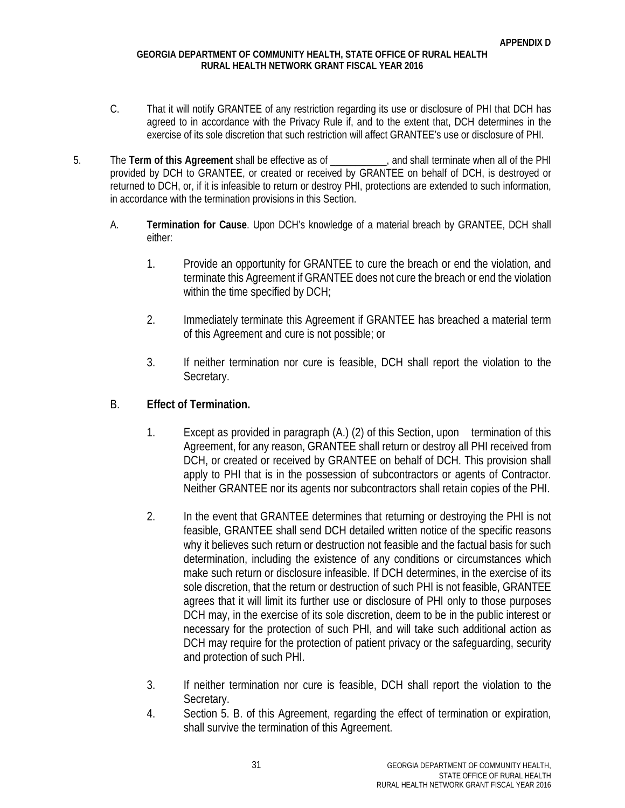- C. That it will notify GRANTEE of any restriction regarding its use or disclosure of PHI that DCH has agreed to in accordance with the Privacy Rule if, and to the extent that, DCH determines in the exercise of its sole discretion that such restriction will affect GRANTEE's use or disclosure of PHI.
- 5. The **Term of this Agreement** shall be effective as of \_\_\_\_\_\_\_\_\_\_\_, and shall terminate when all of the PHI provided by DCH to GRANTEE, or created or received by GRANTEE on behalf of DCH, is destroyed or returned to DCH, or, if it is infeasible to return or destroy PHI, protections are extended to such information, in accordance with the termination provisions in this Section.
	- A. **Termination for Cause**. Upon DCH's knowledge of a material breach by GRANTEE, DCH shall either:
		- 1. Provide an opportunity for GRANTEE to cure the breach or end the violation, and terminate this Agreement if GRANTEE does not cure the breach or end the violation within the time specified by DCH;
		- 2. Immediately terminate this Agreement if GRANTEE has breached a material term of this Agreement and cure is not possible; or
		- 3. If neither termination nor cure is feasible, DCH shall report the violation to the Secretary.

## B. **Effect of Termination.**

- 1. Except as provided in paragraph (A.) (2) of this Section, upon termination of this Agreement, for any reason, GRANTEE shall return or destroy all PHI received from DCH, or created or received by GRANTEE on behalf of DCH. This provision shall apply to PHI that is in the possession of subcontractors or agents of Contractor. Neither GRANTEE nor its agents nor subcontractors shall retain copies of the PHI.
- 2. In the event that GRANTEE determines that returning or destroying the PHI is not feasible, GRANTEE shall send DCH detailed written notice of the specific reasons why it believes such return or destruction not feasible and the factual basis for such determination, including the existence of any conditions or circumstances which make such return or disclosure infeasible. If DCH determines, in the exercise of its sole discretion, that the return or destruction of such PHI is not feasible, GRANTEE agrees that it will limit its further use or disclosure of PHI only to those purposes DCH may, in the exercise of its sole discretion, deem to be in the public interest or necessary for the protection of such PHI, and will take such additional action as DCH may require for the protection of patient privacy or the safeguarding, security and protection of such PHI.
- 3. If neither termination nor cure is feasible, DCH shall report the violation to the Secretary.
- 4. Section 5. B. of this Agreement, regarding the effect of termination or expiration, shall survive the termination of this Agreement.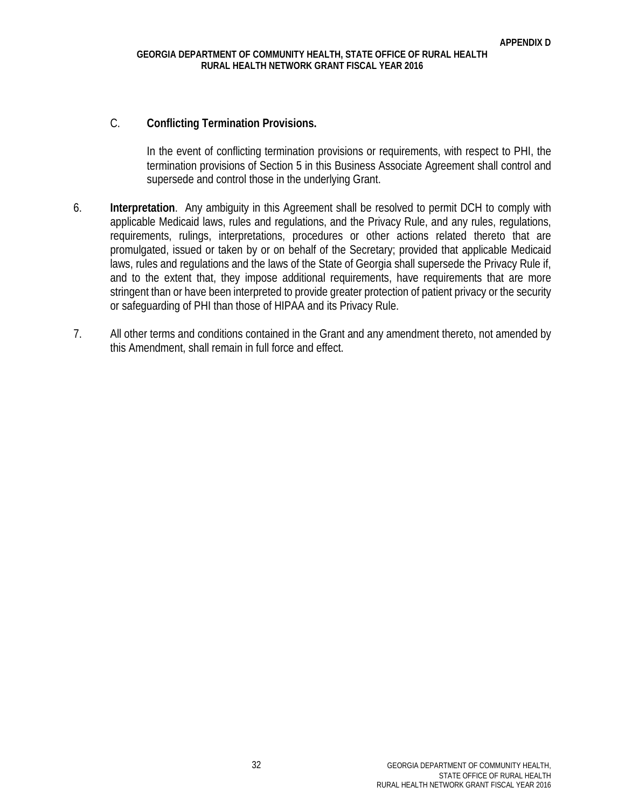#### C. **Conflicting Termination Provisions.**

In the event of conflicting termination provisions or requirements, with respect to PHI, the termination provisions of Section 5 in this Business Associate Agreement shall control and supersede and control those in the underlying Grant.

- 6. **Interpretation**. Any ambiguity in this Agreement shall be resolved to permit DCH to comply with applicable Medicaid laws, rules and regulations, and the Privacy Rule, and any rules, regulations, requirements, rulings, interpretations, procedures or other actions related thereto that are promulgated, issued or taken by or on behalf of the Secretary; provided that applicable Medicaid laws, rules and regulations and the laws of the State of Georgia shall supersede the Privacy Rule if, and to the extent that, they impose additional requirements, have requirements that are more stringent than or have been interpreted to provide greater protection of patient privacy or the security or safeguarding of PHI than those of HIPAA and its Privacy Rule.
- 7. All other terms and conditions contained in the Grant and any amendment thereto, not amended by this Amendment, shall remain in full force and effect.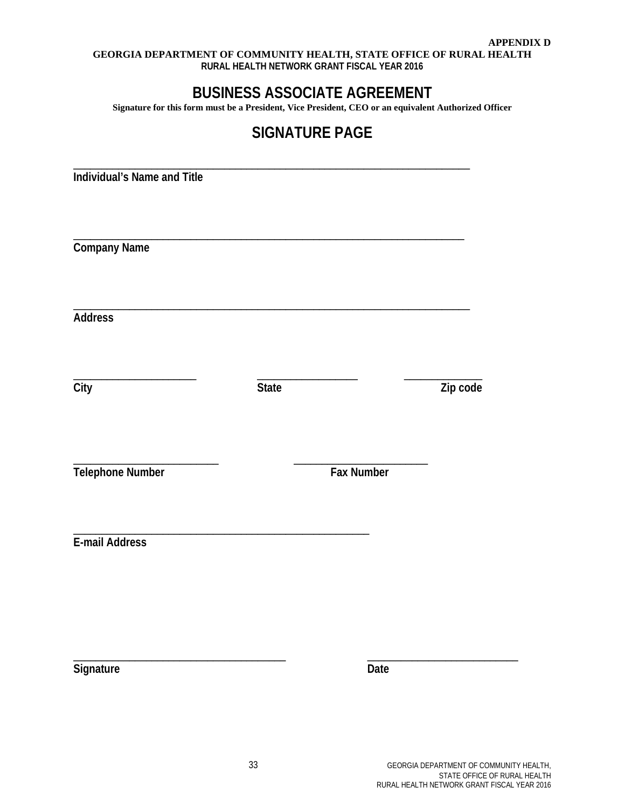# **BUSINESS ASSOCIATE AGREEMENT**

**Signature for this form must be a President, Vice President, CEO or an equivalent Authorized Officer**

# **SIGNATURE PAGE**

**Individual's Name and Title**

**Company Name**

**Address**

\_\_\_\_\_\_\_\_\_\_\_\_\_\_\_\_\_\_\_\_\_\_ \_\_\_\_\_\_\_\_\_\_\_\_\_\_\_\_\_\_ \_\_\_\_\_\_\_\_\_\_\_\_\_\_

\_\_\_\_\_\_\_\_\_\_\_\_\_\_\_\_\_\_\_\_\_\_\_\_\_\_ \_\_\_\_\_\_\_\_\_\_\_\_\_\_\_\_\_\_\_\_\_\_\_\_

\_\_\_\_\_\_\_\_\_\_\_\_\_\_\_\_\_\_\_\_\_\_\_\_\_\_\_\_\_\_\_\_\_\_\_\_\_\_\_\_\_\_\_\_\_\_\_\_\_\_\_\_\_\_\_\_\_\_\_\_\_\_\_\_\_\_\_\_\_\_\_

\_\_\_\_\_\_\_\_\_\_\_\_\_\_\_\_\_\_\_\_\_\_\_\_\_\_\_\_\_\_\_\_\_\_\_\_\_\_\_\_\_\_\_\_\_\_\_\_\_\_\_\_\_\_\_\_\_\_\_\_\_\_\_\_\_\_\_\_\_\_

\_\_\_\_\_\_\_\_\_\_\_\_\_\_\_\_\_\_\_\_\_\_\_\_\_\_\_\_\_\_\_\_\_\_\_\_\_\_\_\_\_\_\_\_\_\_\_\_\_\_\_\_\_\_\_\_\_\_\_\_\_\_\_\_\_\_\_\_\_\_\_

**City State Zip code**

**Telephone Number Fax Number**

\_\_\_\_\_\_\_\_\_\_\_\_\_\_\_\_\_\_\_\_\_\_\_\_\_\_\_\_\_\_\_\_\_\_\_\_\_\_\_\_\_\_\_\_\_\_\_\_\_\_\_\_\_ **E-mail Address**

**Signature Date** 

\_\_\_\_\_\_\_\_\_\_\_\_\_\_\_\_\_\_\_\_\_\_\_\_\_\_\_\_\_\_\_\_\_\_\_\_\_\_ \_\_\_\_\_\_\_\_\_\_\_\_\_\_\_\_\_\_\_\_\_\_\_\_\_\_\_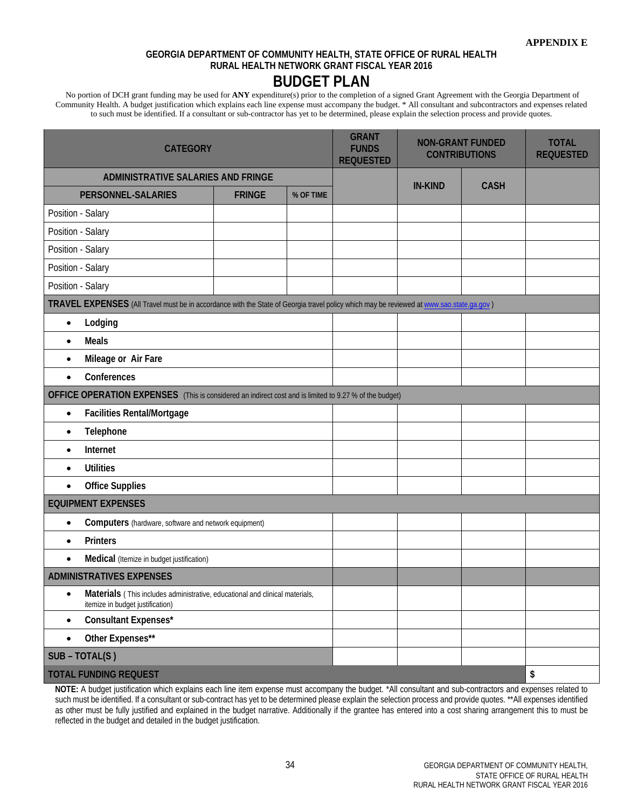No portion of DCH grant funding may be used for **ANY** expenditure(s) prior to the completion of a signed Grant Agreement with the Georgia Department of Community Health. A budget justification which explains each line expense must accompany the budget. \* All consultant and subcontractors and expenses related to such must be identified. If a consultant or sub-contractor has yet to be determined, please explain the selection process and provide quotes.

| <b>CATEGORY</b>                                                                                                                          | <b>GRANT</b><br><b>FUNDS</b><br><b>REQUESTED</b> | <b>NON-GRANT FUNDED</b><br><b>CONTRIBUTIONS</b> |                | <b>TOTAL</b><br><b>REQUESTED</b> |                     |
|------------------------------------------------------------------------------------------------------------------------------------------|--------------------------------------------------|-------------------------------------------------|----------------|----------------------------------|---------------------|
| ADMINISTRATIVE SALARIES AND FRINGE                                                                                                       |                                                  |                                                 | <b>IN-KIND</b> | <b>CASH</b>                      |                     |
| <b>PERSONNEL-SALARIES</b>                                                                                                                |                                                  |                                                 |                |                                  |                     |
| Position - Salary                                                                                                                        |                                                  |                                                 |                |                                  |                     |
| Position - Salary                                                                                                                        |                                                  |                                                 |                |                                  |                     |
| Position - Salary                                                                                                                        |                                                  |                                                 |                |                                  |                     |
| Position - Salary                                                                                                                        |                                                  |                                                 |                |                                  |                     |
| Position - Salary                                                                                                                        |                                                  |                                                 |                |                                  |                     |
| TRAVEL EXPENSES (All Travel must be in accordance with the State of Georgia travel policy which may be reviewed at www.sao.state.ga.gov) |                                                  |                                                 |                |                                  |                     |
| Lodging<br>$\bullet$                                                                                                                     |                                                  |                                                 |                |                                  |                     |
| <b>Meals</b><br>$\bullet$                                                                                                                |                                                  |                                                 |                |                                  |                     |
| Mileage or Air Fare<br>$\bullet$                                                                                                         |                                                  |                                                 |                |                                  |                     |
| Conferences<br>$\bullet$                                                                                                                 |                                                  |                                                 |                |                                  |                     |
| OFFICE OPERATION EXPENSES (This is considered an indirect cost and is limited to 9.27 % of the budget)                                   |                                                  |                                                 |                |                                  |                     |
| Facilities Rental/Mortgage<br>$\bullet$                                                                                                  |                                                  |                                                 |                |                                  |                     |
| Telephone<br>$\bullet$                                                                                                                   |                                                  |                                                 |                |                                  |                     |
| Internet<br>$\bullet$                                                                                                                    |                                                  |                                                 |                |                                  |                     |
| <b>Utilities</b><br>$\bullet$                                                                                                            |                                                  |                                                 |                |                                  |                     |
| <b>Office Supplies</b><br>$\bullet$                                                                                                      |                                                  |                                                 |                |                                  |                     |
| <b>EQUIPMENT EXPENSES</b>                                                                                                                |                                                  |                                                 |                |                                  |                     |
| Computers (hardware, software and network equipment)<br>$\bullet$                                                                        |                                                  |                                                 |                |                                  |                     |
| <b>Printers</b><br>$\bullet$                                                                                                             |                                                  |                                                 |                |                                  |                     |
| Medical (Itemize in budget justification)<br>$\bullet$                                                                                   |                                                  |                                                 |                |                                  |                     |
| <b>ADMINISTRATIVES EXPENSES</b>                                                                                                          |                                                  |                                                 |                |                                  |                     |
| Materials (This includes administrative, educational and clinical materials,<br>$\bullet$<br>itemize in budget justification)            |                                                  |                                                 |                |                                  |                     |
| Consultant Expenses*<br>$\bullet$                                                                                                        |                                                  |                                                 |                |                                  |                     |
| Other Expenses**<br>$\bullet$                                                                                                            |                                                  |                                                 |                |                                  |                     |
| SUB - TOTAL(S)                                                                                                                           |                                                  |                                                 |                |                                  |                     |
| <b>TOTAL FUNDING REQUEST</b>                                                                                                             |                                                  |                                                 |                |                                  | $\pmb{\mathsf{\$}}$ |

**NOTE:** A budget justification which explains each line item expense must accompany the budget. \*All consultant and sub-contractors and expenses related to such must be identified. If a consultant or sub-contract has yet to be determined please explain the selection process and provide quotes. \*\*All expenses identified as other must be fully justified and explained in the budget narrative. Additionally if the grantee has entered into a cost sharing arrangement this to must be reflected in the budget and detailed in the budget justification.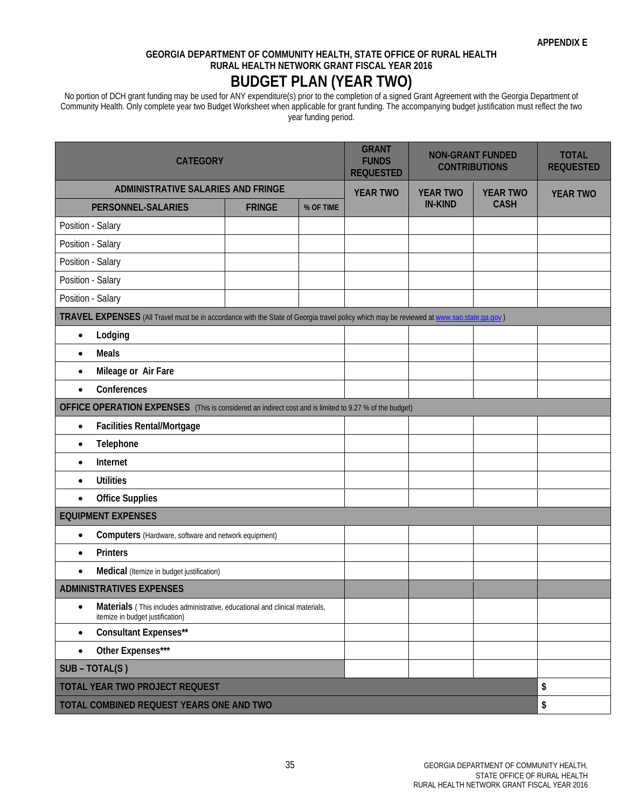### **GEORGIA DEPARTMENT OF COMMUNITY HEALTH, STATE OFFICE OF RURAL HEALTH RURAL HEALTH NETWORK GRANT FISCAL YEAR 2016 BUDGET PLAN (YEAR TWO)**

No portion of DCH grant funding may be used for ANY expenditure(s) prior to the completion of a signed Grant Agreement with the Georgia Department of Community Health. Only complete year two Budget Worksheet when applicable for grant funding. The accompanying budget justification must reflect the two year funding period.

| <b>CATEGORY</b>                                                                                                                          | <b>GRANT</b><br><b>FUNDS</b><br><b>REQUESTED</b> | <b>NON-GRANT FUNDED</b><br><b>CONTRIBUTIONS</b> |  | <b>TOTAL</b><br><b>REQUESTED</b> |                 |                 |  |  |
|------------------------------------------------------------------------------------------------------------------------------------------|--------------------------------------------------|-------------------------------------------------|--|----------------------------------|-----------------|-----------------|--|--|
|                                                                                                                                          | ADMINISTRATIVE SALARIES AND FRINGE               |                                                 |  | <b>YEAR TWO</b>                  | <b>YEAR TWO</b> | <b>YEAR TWO</b> |  |  |
| PERSONNEL-SALARIES                                                                                                                       | <b>FRINGE</b>                                    | % OF TIME                                       |  | <b>IN-KIND</b>                   | <b>CASH</b>     |                 |  |  |
| Position - Salary                                                                                                                        |                                                  |                                                 |  |                                  |                 |                 |  |  |
| Position - Salary                                                                                                                        |                                                  |                                                 |  |                                  |                 |                 |  |  |
| Position - Salary                                                                                                                        |                                                  |                                                 |  |                                  |                 |                 |  |  |
| Position - Salary                                                                                                                        |                                                  |                                                 |  |                                  |                 |                 |  |  |
| Position - Salary                                                                                                                        |                                                  |                                                 |  |                                  |                 |                 |  |  |
| TRAVEL EXPENSES (All Travel must be in accordance with the State of Georgia travel policy which may be reviewed at www.sao.state.ga.gov) |                                                  |                                                 |  |                                  |                 |                 |  |  |
| Lodging<br>$\bullet$                                                                                                                     |                                                  |                                                 |  |                                  |                 |                 |  |  |
| <b>Meals</b><br>$\bullet$                                                                                                                |                                                  |                                                 |  |                                  |                 |                 |  |  |
| Mileage or Air Fare<br>$\bullet$                                                                                                         |                                                  |                                                 |  |                                  |                 |                 |  |  |
| Conferences<br>$\bullet$                                                                                                                 |                                                  |                                                 |  |                                  |                 |                 |  |  |
| OFFICE OPERATION EXPENSES (This is considered an indirect cost and is limited to 9.27 % of the budget)                                   |                                                  |                                                 |  |                                  |                 |                 |  |  |
| Facilities Rental/Mortgage<br>$\bullet$                                                                                                  |                                                  |                                                 |  |                                  |                 |                 |  |  |
| Telephone<br>$\bullet$                                                                                                                   |                                                  |                                                 |  |                                  |                 |                 |  |  |
| Internet<br>$\bullet$                                                                                                                    |                                                  |                                                 |  |                                  |                 |                 |  |  |
| <b>Utilities</b><br>$\bullet$                                                                                                            |                                                  |                                                 |  |                                  |                 |                 |  |  |
| <b>Office Supplies</b><br>$\bullet$                                                                                                      |                                                  |                                                 |  |                                  |                 |                 |  |  |
| <b>EQUIPMENT EXPENSES</b>                                                                                                                |                                                  |                                                 |  |                                  |                 |                 |  |  |
| Computers (Hardware, software and network equipment)<br>$\bullet$                                                                        |                                                  |                                                 |  |                                  |                 |                 |  |  |
| <b>Printers</b><br>$\bullet$                                                                                                             |                                                  |                                                 |  |                                  |                 |                 |  |  |
| Medical (Itemize in budget justification)<br>$\bullet$                                                                                   |                                                  |                                                 |  |                                  |                 |                 |  |  |
| <b>ADMINISTRATIVES EXPENSES</b>                                                                                                          |                                                  |                                                 |  |                                  |                 |                 |  |  |
| Materials (This includes administrative, educational and clinical materials,<br>$\bullet$<br>itemize in budget justification)            |                                                  |                                                 |  |                                  |                 |                 |  |  |
| Consultant Expenses**<br>$\bullet$                                                                                                       |                                                  |                                                 |  |                                  |                 |                 |  |  |
| Other Expenses***<br>$\bullet$                                                                                                           |                                                  |                                                 |  |                                  |                 |                 |  |  |
| SUB - TOTAL(S)                                                                                                                           |                                                  |                                                 |  |                                  |                 |                 |  |  |
| <b>TOTAL YEAR TWO PROJECT REQUEST</b>                                                                                                    |                                                  |                                                 |  |                                  |                 | \$              |  |  |
| \$<br>TOTAL COMBINED REQUEST YEARS ONE AND TWO                                                                                           |                                                  |                                                 |  |                                  |                 |                 |  |  |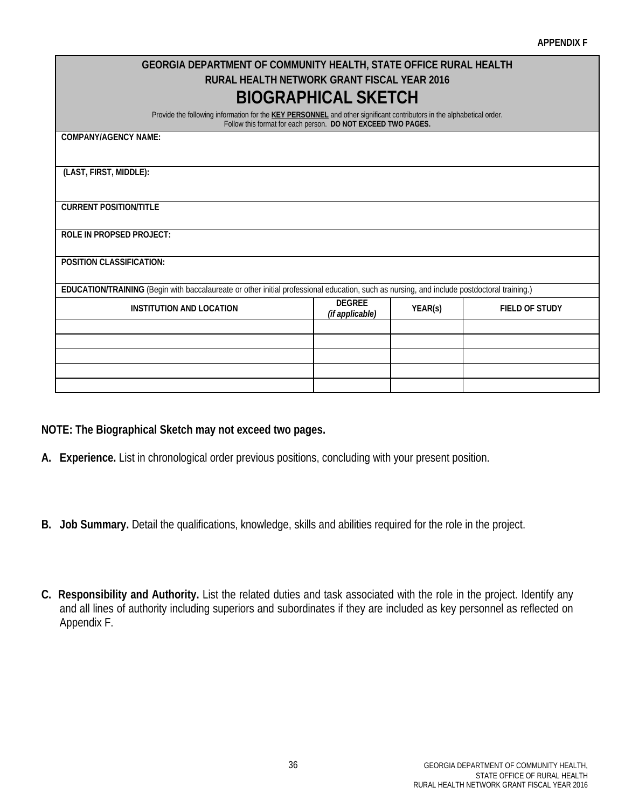| <b>GEORGIA DEPARTMENT OF COMMUNITY HEALTH, STATE OFFICE RURAL HEALTH</b>                                                                                                              |                                                                      |  |  |  |  |  |  |  |
|---------------------------------------------------------------------------------------------------------------------------------------------------------------------------------------|----------------------------------------------------------------------|--|--|--|--|--|--|--|
| RURAL HEALTH NETWORK GRANT FISCAL YEAR 2016                                                                                                                                           |                                                                      |  |  |  |  |  |  |  |
| <b>BIOGRAPHICAL SKETCH</b>                                                                                                                                                            |                                                                      |  |  |  |  |  |  |  |
| Provide the following information for the KEY PERSONNEL and other significant contributors in the alphabetical order.<br>Follow this format for each person. DO NOT EXCEED TWO PAGES. |                                                                      |  |  |  |  |  |  |  |
| <b>COMPANY/AGENCY NAME:</b>                                                                                                                                                           |                                                                      |  |  |  |  |  |  |  |
|                                                                                                                                                                                       |                                                                      |  |  |  |  |  |  |  |
| (LAST, FIRST, MIDDLE):                                                                                                                                                                |                                                                      |  |  |  |  |  |  |  |
|                                                                                                                                                                                       |                                                                      |  |  |  |  |  |  |  |
| <b>CURRENT POSITION/TITLE</b>                                                                                                                                                         |                                                                      |  |  |  |  |  |  |  |
|                                                                                                                                                                                       |                                                                      |  |  |  |  |  |  |  |
| <b>ROLE IN PROPSED PROJECT:</b>                                                                                                                                                       |                                                                      |  |  |  |  |  |  |  |
| <b>POSITION CLASSIFICATION:</b>                                                                                                                                                       |                                                                      |  |  |  |  |  |  |  |
|                                                                                                                                                                                       |                                                                      |  |  |  |  |  |  |  |
| EDUCATION/TRAINING (Begin with baccalaureate or other initial professional education, such as nursing, and include postdoctoral training.)                                            |                                                                      |  |  |  |  |  |  |  |
| <b>INSTITUTION AND LOCATION</b>                                                                                                                                                       | <b>DEGREE</b><br>YEAR(s)<br><b>FIELD OF STUDY</b><br>(if applicable) |  |  |  |  |  |  |  |
|                                                                                                                                                                                       |                                                                      |  |  |  |  |  |  |  |
|                                                                                                                                                                                       |                                                                      |  |  |  |  |  |  |  |
|                                                                                                                                                                                       |                                                                      |  |  |  |  |  |  |  |
|                                                                                                                                                                                       |                                                                      |  |  |  |  |  |  |  |
|                                                                                                                                                                                       |                                                                      |  |  |  |  |  |  |  |

## **NOTE: The Biographical Sketch may not exceed two pages.**

- **A. Experience.** List in chronological order previous positions, concluding with your present position.
- **B. Job Summary.** Detail the qualifications, knowledge, skills and abilities required for the role in the project.
- **C. Responsibility and Authority.** List the related duties and task associated with the role in the project. Identify any and all lines of authority including superiors and subordinates if they are included as key personnel as reflected on Appendix F.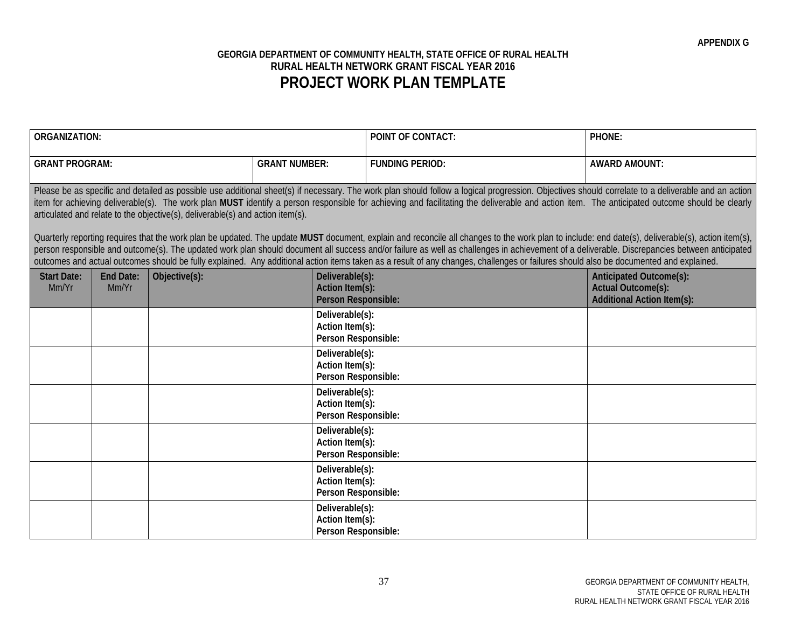## **GEORGIA DEPARTMENT OF COMMUNITY HEALTH, STATE OFFICE OF RURAL HEALTH RURAL HEALTH NETWORK GRANT FISCAL YEAR 2016 PROJECT WORK PLAN TEMPLATE**

| <b>ORGANIZATION:</b>                                                                                                                                                                                                                                                                                                                                                                                                                                                                                                                                                                                                                                                                                                                                                                                                                                                                       |                    |               |                      | <b>POINT OF CONTACT:</b>                                         | PHONE:                                                                                                                                                                                |                                                                                           |  |  |  |
|--------------------------------------------------------------------------------------------------------------------------------------------------------------------------------------------------------------------------------------------------------------------------------------------------------------------------------------------------------------------------------------------------------------------------------------------------------------------------------------------------------------------------------------------------------------------------------------------------------------------------------------------------------------------------------------------------------------------------------------------------------------------------------------------------------------------------------------------------------------------------------------------|--------------------|---------------|----------------------|------------------------------------------------------------------|---------------------------------------------------------------------------------------------------------------------------------------------------------------------------------------|-------------------------------------------------------------------------------------------|--|--|--|
| <b>GRANT PROGRAM:</b>                                                                                                                                                                                                                                                                                                                                                                                                                                                                                                                                                                                                                                                                                                                                                                                                                                                                      |                    |               | <b>GRANT NUMBER:</b> |                                                                  | <b>FUNDING PERIOD:</b>                                                                                                                                                                | <b>AWARD AMOUNT:</b>                                                                      |  |  |  |
| Please be as specific and detailed as possible use additional sheet(s) if necessary. The work plan should follow a logical progression. Objectives should correlate to a deliverable and an action<br>item for achieving deliverable(s). The work plan MUST identify a person responsible for achieving and facilitating the deliverable and action item. The anticipated outcome should be clearly<br>articulated and relate to the objective(s), deliverable(s) and action item(s).<br>Ouarterly reporting requires that the work plan be updated. The update MUST document, explain and reconcile all changes to the work plan to include: end date(s), deliverable(s), action item(s),<br>person responsible and outcome(s). The updated work plan should document all success and/or failure as well as challenges in achievement of a deliverable. Discrepancies between anticipated |                    |               |                      |                                                                  |                                                                                                                                                                                       |                                                                                           |  |  |  |
|                                                                                                                                                                                                                                                                                                                                                                                                                                                                                                                                                                                                                                                                                                                                                                                                                                                                                            |                    |               |                      |                                                                  | outcomes and actual outcomes should be fully explained. Any additional action items taken as a result of any changes, challenges or failures should also be documented and explained. |                                                                                           |  |  |  |
| <b>Start Date:</b><br>Mm/Yr                                                                                                                                                                                                                                                                                                                                                                                                                                                                                                                                                                                                                                                                                                                                                                                                                                                                | End Date:<br>Mm/Yr | Objective(s): |                      | Deliverable(s):<br><b>Action Item(s):</b><br>Person Responsible: |                                                                                                                                                                                       | Anticipated Outcome(s):<br><b>Actual Outcome(s):</b><br><b>Additional Action Item(s):</b> |  |  |  |
|                                                                                                                                                                                                                                                                                                                                                                                                                                                                                                                                                                                                                                                                                                                                                                                                                                                                                            |                    |               |                      | Deliverable(s):<br>Action Item(s):<br>Person Responsible:        |                                                                                                                                                                                       |                                                                                           |  |  |  |
|                                                                                                                                                                                                                                                                                                                                                                                                                                                                                                                                                                                                                                                                                                                                                                                                                                                                                            |                    |               |                      | Deliverable(s):<br>Action Item(s):<br>Person Responsible:        |                                                                                                                                                                                       |                                                                                           |  |  |  |
|                                                                                                                                                                                                                                                                                                                                                                                                                                                                                                                                                                                                                                                                                                                                                                                                                                                                                            |                    |               |                      | Deliverable(s):<br>Action Item(s):<br>Person Responsible:        |                                                                                                                                                                                       |                                                                                           |  |  |  |
|                                                                                                                                                                                                                                                                                                                                                                                                                                                                                                                                                                                                                                                                                                                                                                                                                                                                                            |                    |               |                      | Deliverable(s):<br>Action Item(s):<br>Person Responsible:        |                                                                                                                                                                                       |                                                                                           |  |  |  |
|                                                                                                                                                                                                                                                                                                                                                                                                                                                                                                                                                                                                                                                                                                                                                                                                                                                                                            |                    |               |                      | Deliverable(s):<br>Action Item(s):<br>Person Responsible:        |                                                                                                                                                                                       |                                                                                           |  |  |  |
|                                                                                                                                                                                                                                                                                                                                                                                                                                                                                                                                                                                                                                                                                                                                                                                                                                                                                            |                    |               |                      | Deliverable(s):<br>Action Item(s):<br>Person Responsible:        |                                                                                                                                                                                       |                                                                                           |  |  |  |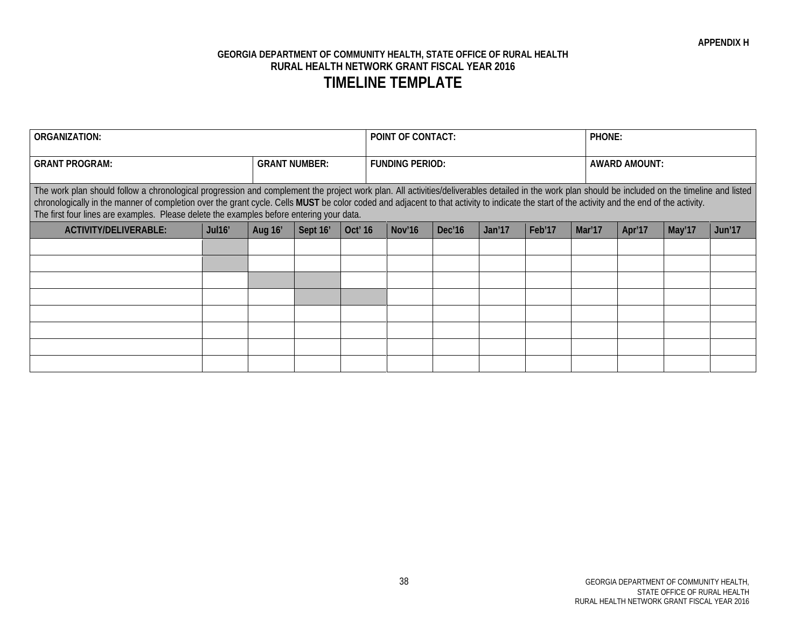| <b>ORGANIZATION:</b>                                                                                                                                                                                                                                                                                                                                                                                                                                                                          |        |                      |          |                     | <b>POINT OF CONTACT:</b> |        |        |        |        | <b>PHONE:</b> |        |        |        |
|-----------------------------------------------------------------------------------------------------------------------------------------------------------------------------------------------------------------------------------------------------------------------------------------------------------------------------------------------------------------------------------------------------------------------------------------------------------------------------------------------|--------|----------------------|----------|---------------------|--------------------------|--------|--------|--------|--------|---------------|--------|--------|--------|
| <b>GRANT PROGRAM:</b>                                                                                                                                                                                                                                                                                                                                                                                                                                                                         |        | <b>GRANT NUMBER:</b> |          |                     | <b>FUNDING PERIOD:</b>   |        |        |        |        | AWARD AMOUNT: |        |        |        |
| The work plan should follow a chronological progression and complement the project work plan. All activities/deliverables detailed in the work plan should be included on the timeline and listed<br>chronologically in the manner of completion over the grant cycle. Cells MUST be color coded and adjacent to that activity to indicate the start of the activity and the end of the activity.<br>The first four lines are examples. Please delete the examples before entering your data. |        |                      |          |                     |                          |        |        |        |        |               |        |        |        |
| <b>ACTIVITY/DELIVERABLE:</b>                                                                                                                                                                                                                                                                                                                                                                                                                                                                  | Jul16' | Aug 16'              | Sept 16' | Oct <sup>'</sup> 16 |                          | Nov'16 | Dec'16 | Jan'17 | Feb'17 | Mar'17        | Apr'17 | May'17 | Jun'17 |
|                                                                                                                                                                                                                                                                                                                                                                                                                                                                                               |        |                      |          |                     |                          |        |        |        |        |               |        |        |        |
|                                                                                                                                                                                                                                                                                                                                                                                                                                                                                               |        |                      |          |                     |                          |        |        |        |        |               |        |        |        |
|                                                                                                                                                                                                                                                                                                                                                                                                                                                                                               |        |                      |          |                     |                          |        |        |        |        |               |        |        |        |
|                                                                                                                                                                                                                                                                                                                                                                                                                                                                                               |        |                      |          |                     |                          |        |        |        |        |               |        |        |        |
|                                                                                                                                                                                                                                                                                                                                                                                                                                                                                               |        |                      |          |                     |                          |        |        |        |        |               |        |        |        |
|                                                                                                                                                                                                                                                                                                                                                                                                                                                                                               |        |                      |          |                     |                          |        |        |        |        |               |        |        |        |
|                                                                                                                                                                                                                                                                                                                                                                                                                                                                                               |        |                      |          |                     |                          |        |        |        |        |               |        |        |        |
|                                                                                                                                                                                                                                                                                                                                                                                                                                                                                               |        |                      |          |                     |                          |        |        |        |        |               |        |        |        |